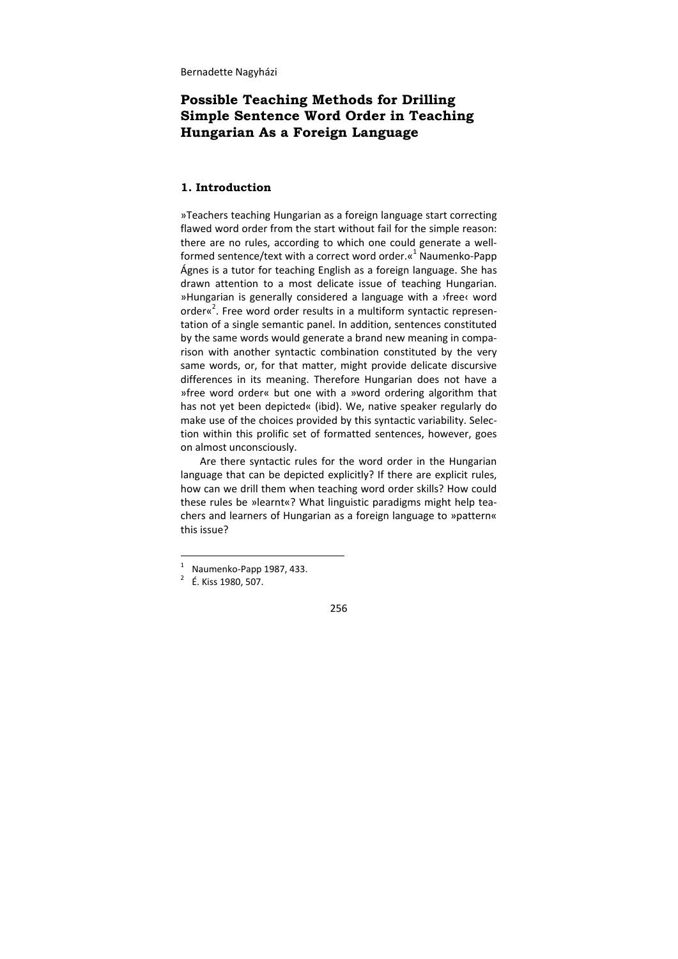# **Possible Teaching Methods for Drilling Simple Sentence Word Order in Teaching Hungarian As a Foreign Language**

# **1. Introduction**

»Teachers teaching Hungarian as a foreign language start correcting flawed word order from the start without fail for the simple reason: there are no rules, according to which one could generate a well‐ formed sentence/text with a correct word order. $\alpha^1$  Naumenko-Papp Ágnes is a tutor for teaching English as a foreign language. She has drawn attention to a most delicate issue of teaching Hungarian. »Hungarian is generally considered a language with a ›free‹ word order«<sup>2</sup>. Free word order results in a multiform syntactic representation of a single semantic panel. In addition, sentences constituted by the same words would generate a brand new meaning in compa‐ rison with another syntactic combination constituted by the very same words, or, for that matter, might provide delicate discursive differences in its meaning. Therefore Hungarian does not have a »free word order« but one with a »word ordering algorithm that has not yet been depicted« (ibid). We, native speaker regularly do make use of the choices provided by this syntactic variability. Selec‐ tion within this prolific set of formatted sentences, however, goes on almost unconsciously.

Are there syntactic rules for the word order in the Hungarian language that can be depicted explicitly? If there are explicit rules, how can we drill them when teaching word order skills? How could these rules be »learnt«? What linguistic paradigms might help tea‐ chers and learners of Hungarian as a foreign language to »pattern« this issue?

 $\frac{1}{1}$  $\frac{1}{2}$  Naumenko-Papp 1987, 433.

 É. Kiss 1980, 507.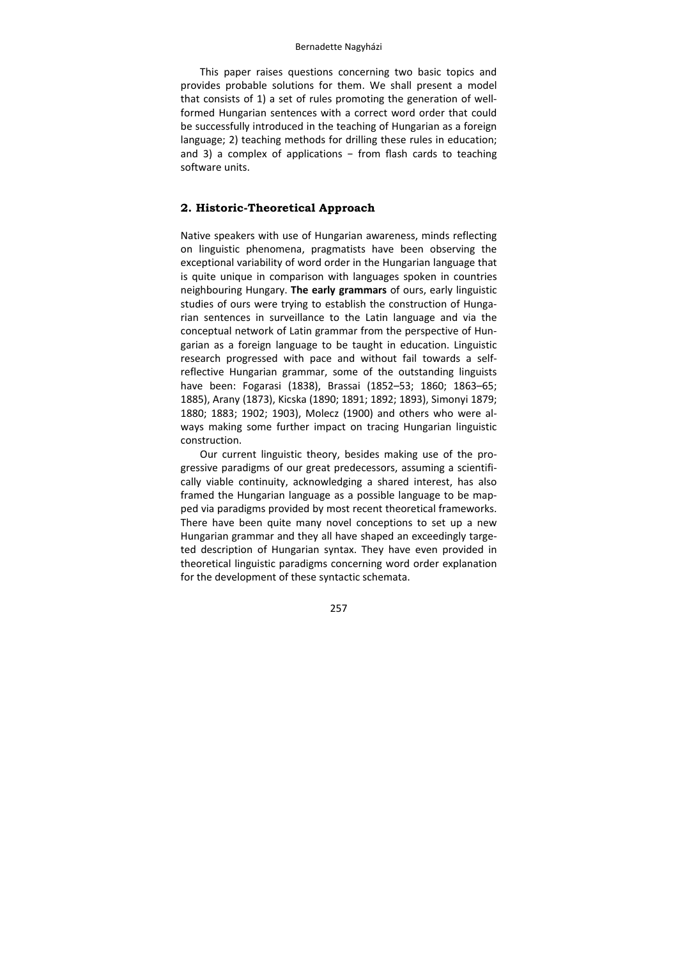This paper raises questions concerning two basic topics and provides probable solutions for them. We shall present a model that consists of 1) a set of rules promoting the generation of well‐ formed Hungarian sentences with a correct word order that could be successfully introduced in the teaching of Hungarian as a foreign language; 2) teaching methods for drilling these rules in education; and 3) a complex of applications  $-$  from flash cards to teaching software units.

# **2. Historic-Theoretical Approach**

Native speakers with use of Hungarian awareness, minds reflecting on linguistic phenomena, pragmatists have been observing the exceptional variability of word order in the Hungarian language that is quite unique in comparison with languages spoken in countries neighbouring Hungary. **The early grammars** of ours, early linguistic studies of ours were trying to establish the construction of Hunga‐ rian sentences in surveillance to the Latin language and via the conceptual network of Latin grammar from the perspective of Hun‐ garian as a foreign language to be taught in education. Linguistic research progressed with pace and without fail towards a self‐ reflective Hungarian grammar, some of the outstanding linguists have been: Fogarasi (1838), Brassai (1852–53; 1860; 1863–65; 1885), Arany (1873), Kicska (1890; 1891; 1892; 1893), Simonyi 1879; 1880; 1883; 1902; 1903), Molecz (1900) and others who were al‐ ways making some further impact on tracing Hungarian linguistic construction.

Our current linguistic theory, besides making use of the pro‐ gressive paradigms of our great predecessors, assuming a scientifi‐ cally viable continuity, acknowledging a shared interest, has also framed the Hungarian language as a possible language to be mapped via paradigms provided by most recent theoretical frameworks. There have been quite many novel conceptions to set up a new Hungarian grammar and they all have shaped an exceedingly targe‐ ted description of Hungarian syntax. They have even provided in theoretical linguistic paradigms concerning word order explanation for the development of these syntactic schemata.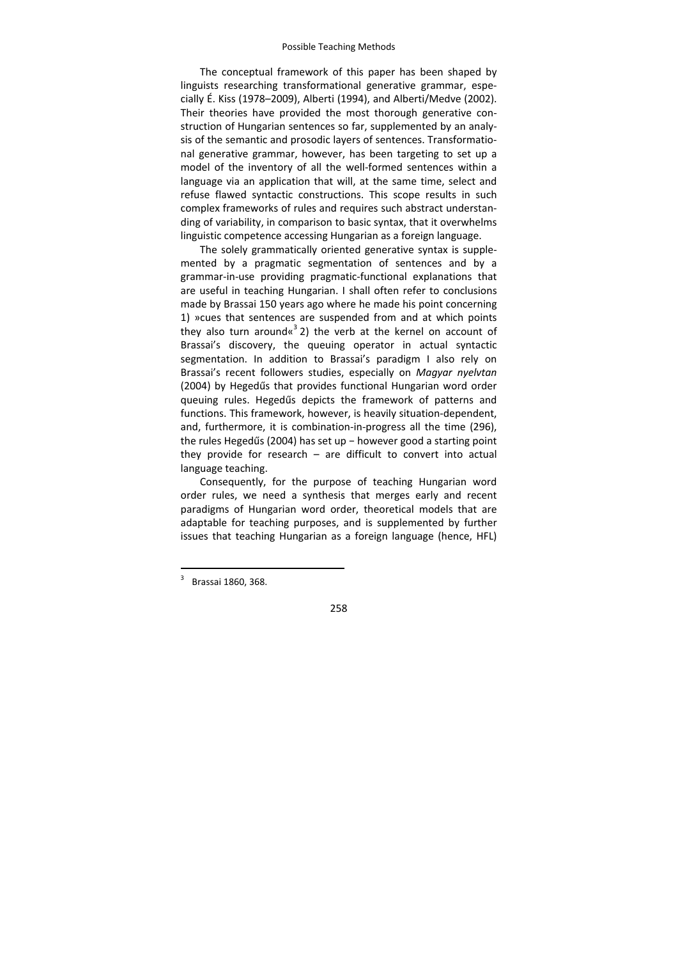The conceptual framework of this paper has been shaped by linguists researching transformational generative grammar, espe‐ cially É. Kiss (1978–2009), Alberti (1994), and Alberti/Medve (2002). Their theories have provided the most thorough generative construction of Hungarian sentences so far, supplemented by an analy‐ sis of the semantic and prosodic layers of sentences. Transformatio‐ nal generative grammar, however, has been targeting to set up a model of the inventory of all the well-formed sentences within a language via an application that will, at the same time, select and refuse flawed syntactic constructions. This scope results in such complex frameworks of rules and requires such abstract understan‐ ding of variability, in comparison to basic syntax, that it overwhelms linguistic competence accessing Hungarian as a foreign language.

The solely grammatically oriented generative syntax is supple‐ mented by a pragmatic segmentation of sentences and by a grammar‐in‐use providing pragmatic‐functional explanations that are useful in teaching Hungarian. I shall often refer to conclusions made by Brassai 150 years ago where he made his point concerning 1) »cues that sentences are suspended from and at which points they also turn around« $3$ 2) the verb at the kernel on account of Brassai's discovery, the queuing operator in actual syntactic segmentation. In addition to Brassai's paradigm I also rely on Brassai's recent followers studies, especially on *Magyar nyelvtan* (2004) by Hegedűs that provides functional Hungarian word order queuing rules. Hegedűs depicts the framework of patterns and functions. This framework, however, is heavily situation‐dependent, and, furthermore, it is combination‐in‐progress all the time (296), the rules Hegedűs (2004) has set up − however good a starting point they provide for research – are difficult to convert into actual language teaching.

Consequently, for the purpose of teaching Hungarian word order rules, we need a synthesis that merges early and recent paradigms of Hungarian word order, theoretical models that are adaptable for teaching purposes, and is supplemented by further issues that teaching Hungarian as a foreign language (hence, HFL)

-

<sup>3</sup> Brassai 1860, 368.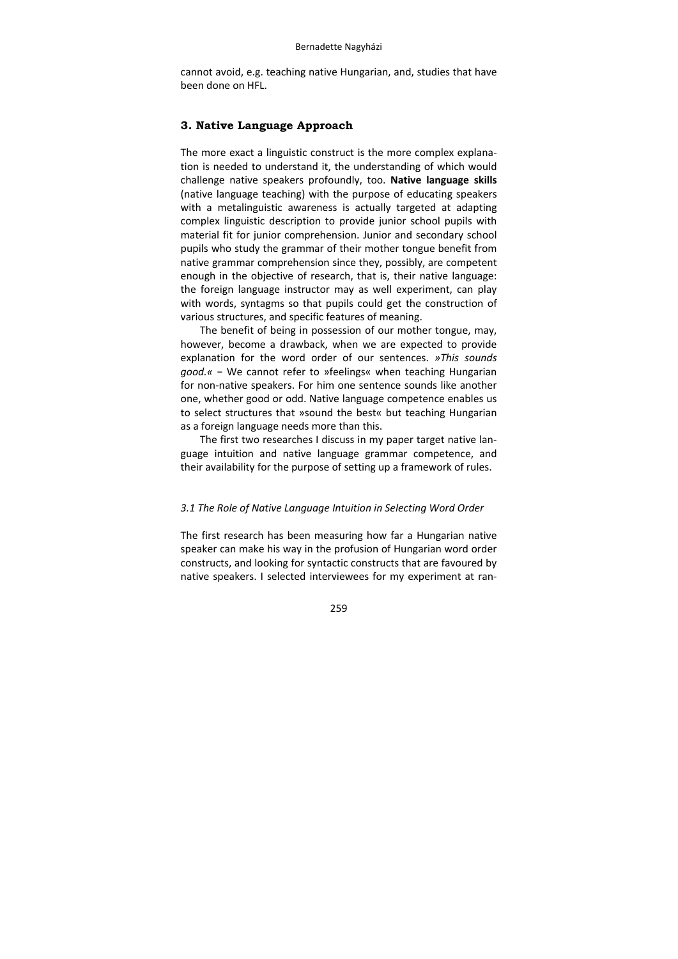cannot avoid, e.g. teaching native Hungarian, and, studies that have been done on HFL.

## **3. Native Language Approach**

The more exact a linguistic construct is the more complex explana‐ tion is needed to understand it, the understanding of which would challenge native speakers profoundly, too. **Native language skills** (native language teaching) with the purpose of educating speakers with a metalinguistic awareness is actually targeted at adapting complex linguistic description to provide junior school pupils with material fit for junior comprehension. Junior and secondary school pupils who study the grammar of their mother tongue benefit from native grammar comprehension since they, possibly, are competent enough in the objective of research, that is, their native language: the foreign language instructor may as well experiment, can play with words, syntagms so that pupils could get the construction of various structures, and specific features of meaning.

The benefit of being in possession of our mother tongue, may, however, become a drawback, when we are expected to provide explanation for the word order of our sentences. *»This sounds good.«* − We cannot refer to »feelings« when teaching Hungarian for non‐native speakers. For him one sentence sounds like another one, whether good or odd. Native language competence enables us to select structures that »sound the best« but teaching Hungarian as a foreign language needs more than this.

The first two researches I discuss in my paper target native language intuition and native language grammar competence, and their availability for the purpose of setting up a framework of rules.

## *3.1 The Role of Native Language Intuition in Selecting Word Order*

The first research has been measuring how far a Hungarian native speaker can make his way in the profusion of Hungarian word order constructs, and looking for syntactic constructs that are favoured by native speakers. I selected interviewees for my experiment at ran‐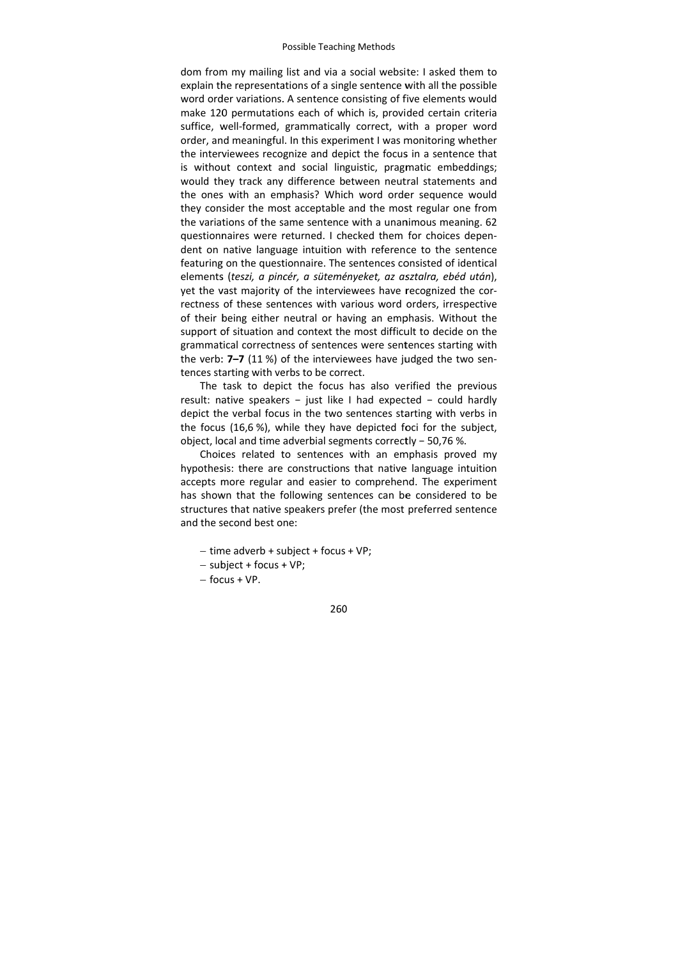dom from my mailing list and via a social website: I asked them to explain the representations of a single sentence with all the possible word order variations. A sentence consisting of five elements would make 120 permutations each of which is, provided certain criteria suffice, well-formed, grammatically correct, with a proper word order, and meaningful. In this experiment I was monitoring whether the interviewees recognize and depict the focus in a sentence that is without context and social linguistic, pragmatic embeddings; would they track any difference between neutral statements and the ones with an emphasis? Which word order sequence would they consider the most acceptable and the most regular one from the variations of the same sentence with a unanimous meaning. 62 questionnaires were returned. I checked them for choices dependent on native language intuition with reference to the sentence featuring on the questionnaire. The sentences consisted of identical elements s (*teszi, a pinc cér, a sütemé ényeket, az as sztalra, ebéd után*), yet the vast majority of the interviewees have recognized the correctness of these sentences with various word orders, irrespective of their being either neutral or having an emphasis. Without the support of situation and context the most difficult to decide on the grammatical correctness of sentences were sentences starting with the verb: 7-7 (11 %) of the interviewees have judged the two sentences starting with verbs to be correct.

The task to depict the focus has also verified the previous result: native speakers - just like I had expected - could hardly depict the verbal focus in the two sentences starting with verbs in the focus (16,6 %), while they have depicted foci for the subject, object, local and time adverbial segments correctly - 50,76 %.

Choices related to sentences with an emphasis proved my hypothesis: there are constructions that native language intuition accepts more regular and easier to comprehend. The experiment has shown that the following sentences can be considered to be structures that native speakers prefer (the most preferred sentence and the second best one:

- time adverb + subject + focus + VP;
- sub bject + focus + VP;
- focus + VP.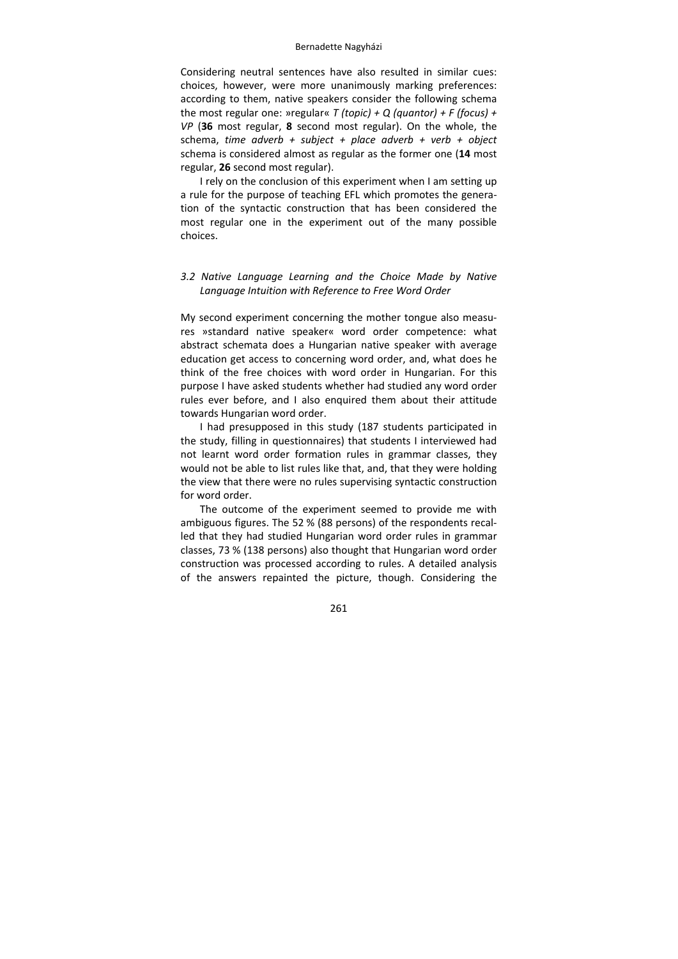Considering neutral sentences have also resulted in similar cues: choices, however, were more unanimously marking preferences: according to them, native speakers consider the following schema the most regular one: »regular« *T (topic) + Q (quantor) + F (focus) + VP* (**36** most regular, **8** second most regular). On the whole, the schema, *time adverb + subject + place adverb + verb + object* schema is considered almost as regular as the former one (**14** most regular, **26** second most regular).

I rely on the conclusion of this experiment when I am setting up a rule for the purpose of teaching EFL which promotes the genera‐ tion of the syntactic construction that has been considered the most regular one in the experiment out of the many possible choices.

# *3.2 Native Language Learning and the Choice Made by Native Language Intuition with Reference to Free Word Order*

My second experiment concerning the mother tongue also measu‐ res »standard native speaker« word order competence: what abstract schemata does a Hungarian native speaker with average education get access to concerning word order, and, what does he think of the free choices with word order in Hungarian. For this purpose I have asked students whether had studied any word order rules ever before, and I also enquired them about their attitude towards Hungarian word order.

I had presupposed in this study (187 students participated in the study, filling in questionnaires) that students I interviewed had not learnt word order formation rules in grammar classes, they would not be able to list rules like that, and, that they were holding the view that there were no rules supervising syntactic construction for word order.

The outcome of the experiment seemed to provide me with ambiguous figures. The 52 % (88 persons) of the respondents recal‐ led that they had studied Hungarian word order rules in grammar classes, 73 % (138 persons) also thought that Hungarian word order construction was processed according to rules. A detailed analysis of the answers repainted the picture, though. Considering the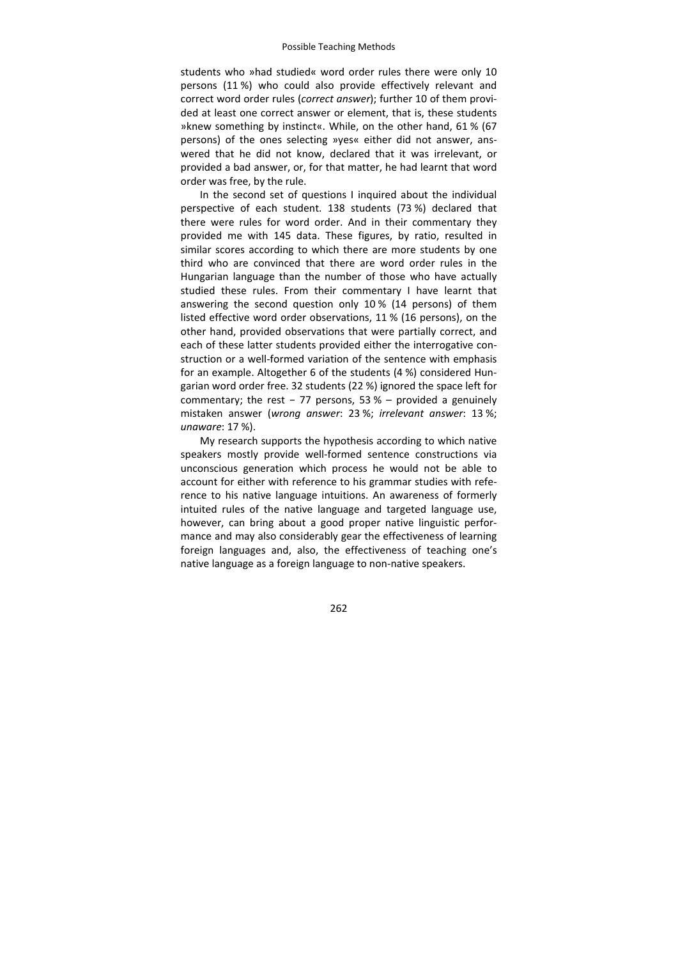students who »had studied« word order rules there were only 10 persons (11 %) who could also provide effectively relevant and correct word order rules (*correct answer*); further 10 of them provi‐ ded at least one correct answer or element, that is, these students »knew something by instinct«. While, on the other hand, 61 % (67 persons) of the ones selecting »yes« either did not answer, ans‐ wered that he did not know, declared that it was irrelevant, or provided a bad answer, or, for that matter, he had learnt that word order was free, by the rule.

In the second set of questions I inquired about the individual perspective of each student. 138 students (73 %) declared that there were rules for word order. And in their commentary they provided me with 145 data. These figures, by ratio, resulted in similar scores according to which there are more students by one third who are convinced that there are word order rules in the Hungarian language than the number of those who have actually studied these rules. From their commentary I have learnt that answering the second question only 10 % (14 persons) of them listed effective word order observations, 11 % (16 persons), on the other hand, provided observations that were partially correct, and each of these latter students provided either the interrogative construction or a well‐formed variation of the sentence with emphasis for an example. Altogether 6 of the students (4 %) considered Hungarian word order free. 32 students (22 %) ignored the space left for commentary; the rest  $-77$  persons, 53 % – provided a genuinely mistaken answer (*wrong answer*: 23 %; *irrelevant answer*: 13 %; *unaware*: 17 %).

My research supports the hypothesis according to which native speakers mostly provide well-formed sentence constructions via unconscious generation which process he would not be able to account for either with reference to his grammar studies with refe‐ rence to his native language intuitions. An awareness of formerly intuited rules of the native language and targeted language use, however, can bring about a good proper native linguistic performance and may also considerably gear the effectiveness of learning foreign languages and, also, the effectiveness of teaching one's native language as a foreign language to non‐native speakers.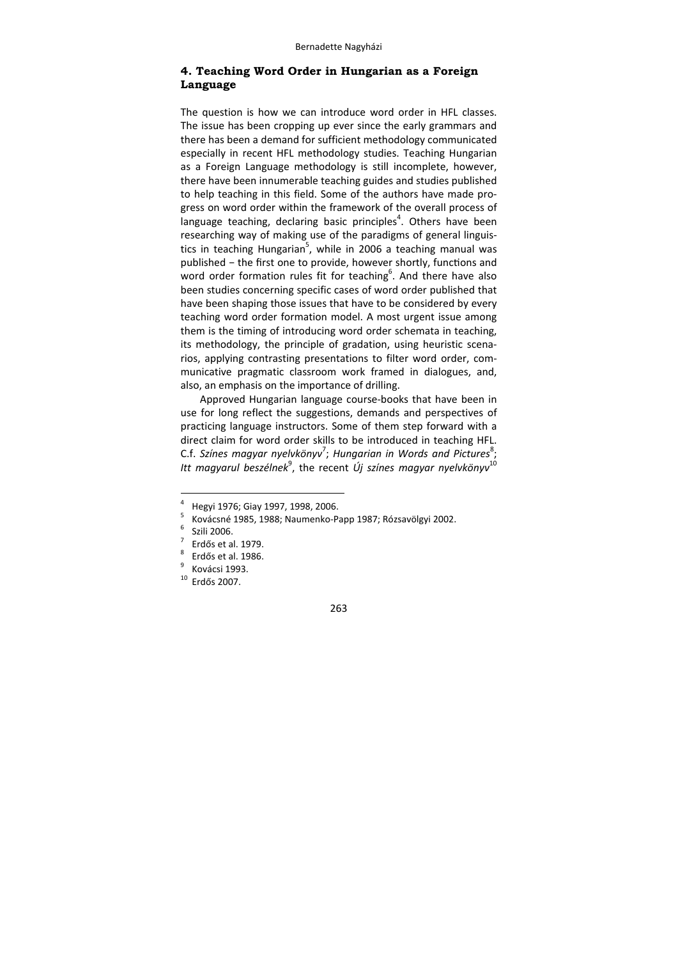# **4. Teaching Word Order in Hungarian as a Foreign Language**

The question is how we can introduce word order in HFL classes. The issue has been cropping up ever since the early grammars and there has been a demand for sufficient methodology communicated especially in recent HFL methodology studies. Teaching Hungarian as a Foreign Language methodology is still incomplete, however, there have been innumerable teaching guides and studies published to help teaching in this field. Some of the authors have made pro‐ gress on word order within the framework of the overall process of language teaching, declaring basic principles<sup>4</sup>. Others have been researching way of making use of the paradigms of general linguis‐ tics in teaching Hungarian<sup>5</sup>, while in 2006 a teaching manual was published − the first one to provide, however shortly, functions and word order formation rules fit for teaching<sup>6</sup>. And there have also been studies concerning specific cases of word order published that have been shaping those issues that have to be considered by every teaching word order formation model. A most urgent issue among them is the timing of introducing word order schemata in teaching, its methodology, the principle of gradation, using heuristic scena‐ rios, applying contrasting presentations to filter word order, com‐ municative pragmatic classroom work framed in dialogues, and, also, an emphasis on the importance of drilling.

Approved Hungarian language course‐books that have been in use for long reflect the suggestions, demands and perspectives of practicing language instructors. Some of them step forward with a direct claim for word order skills to be introduced in teaching HFL. C.f. Színes magyar nyelvkönyv<sup>7</sup>; Hungarian in Words and Pictures<sup>8</sup> ; *Itt magyarul beszélnek*<sup>9</sup>, the recent *Új színes magyar nyelvkönyv*<sup>10</sup>

 $\frac{8}{9}$  Erdős et al. 1986.<br> $\frac{9}{9}$  Kovácsi 1993.

 $\frac{1}{4}$ <sup>4</sup> Hegyi 1976; Giay 1997, 1998, 2006.

 $\frac{5}{6}$  Kovácsné 1985, 1988; Naumenko-Papp 1987; Rózsavölgyi 2002.

 $\frac{6}{7}$  Szili 2006.

 Erdő<sup>s</sup> et al. 1979. <sup>8</sup>

 $10$  Erdős 2007.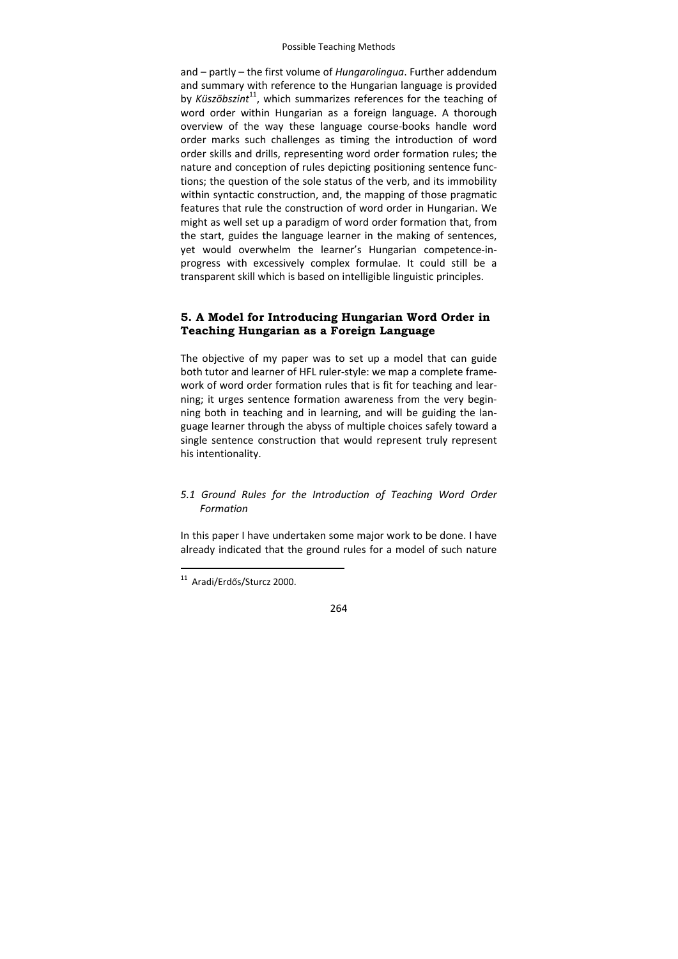and – partly – the first volume of *Hungarolingua*. Further addendum and summary with reference to the Hungarian language is provided by *Küszöbszint*<sup>11</sup>, which summarizes references for the teaching of word order within Hungarian as a foreign language. A thorough overview of the way these language course‐books handle word order marks such challenges as timing the introduction of word order skills and drills, representing word order formation rules; the nature and conception of rules depicting positioning sentence func‐ tions; the question of the sole status of the verb, and its immobility within syntactic construction, and, the mapping of those pragmatic features that rule the construction of word order in Hungarian. We might as well set up a paradigm of word order formation that, from the start, guides the language learner in the making of sentences, yet would overwhelm the learner's Hungarian competence‐in‐ progress with excessively complex formulae. It could still be a transparent skill which is based on intelligible linguistic principles.

# **5. A Model for Introducing Hungarian Word Order in Teaching Hungarian as a Foreign Language**

The objective of my paper was to set up a model that can guide both tutor and learner of HFL ruler‐style: we map a complete frame‐ work of word order formation rules that is fit for teaching and lear‐ ning; it urges sentence formation awareness from the very begin‐ ning both in teaching and in learning, and will be guiding the lan‐ guage learner through the abyss of multiple choices safely toward a single sentence construction that would represent truly represent his intentionality.

# *5.1 Ground Rules for the Introduction of Teaching Word Order Formation*

In this paper I have undertaken some major work to be done. I have already indicated that the ground rules for a model of such nature

-

<sup>&</sup>lt;sup>11</sup> Aradi/Erdős/Sturcz 2000.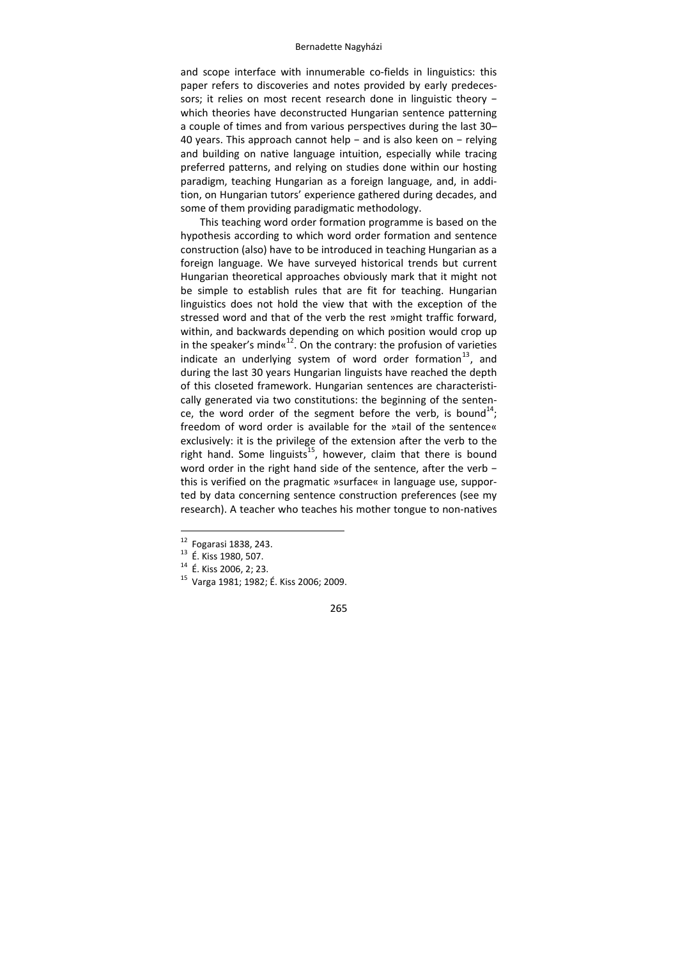and scope interface with innumerable co-fields in linguistics: this paper refers to discoveries and notes provided by early predeces‐ sors; it relies on most recent research done in linguistic theory which theories have deconstructed Hungarian sentence patterning a couple of times and from various perspectives during the last 30– 40 years. This approach cannot help − and is also keen on − relying and building on native language intuition, especially while tracing preferred patterns, and relying on studies done within our hosting paradigm, teaching Hungarian as a foreign language, and, in addi‐ tion, on Hungarian tutors' experience gathered during decades, and some of them providing paradigmatic methodology.

This teaching word order formation programme is based on the hypothesis according to which word order formation and sentence construction (also) have to be introduced in teaching Hungarian as a foreign language. We have surveyed historical trends but current Hungarian theoretical approaches obviously mark that it might not be simple to establish rules that are fit for teaching. Hungarian linguistics does not hold the view that with the exception of the stressed word and that of the verb the rest »might traffic forward, within, and backwards depending on which position would crop up in the speaker's mind  $x^{12}$ . On the contrary: the profusion of varieties indicate an underlying system of word order formation $^{13}$ , and during the last 30 years Hungarian linguists have reached the depth of this closeted framework. Hungarian sentences are characteristi‐ cally generated via two constitutions: the beginning of the senten‐ ce, the word order of the segment before the verb, is bound<sup>14</sup>; freedom of word order is available for the »tail of the sentence« exclusively: it is the privilege of the extension after the verb to the right hand. Some linguists<sup>15</sup>, however, claim that there is bound word order in the right hand side of the sentence, after the verb − this is verified on the pragmatic »surface« in language use, suppor‐ ted by data concerning sentence construction preferences (see my research). A teacher who teaches his mother tongue to non-natives

 $12$  Fogarasi 1838, 243.

<sup>&</sup>lt;sup>13</sup> É. Kiss 1980, 507.<br><sup>14</sup> É. Kiss 2006, 2; 23.<br><sup>15</sup> Varga 1981; 1982; É. Kiss 2006; 2009.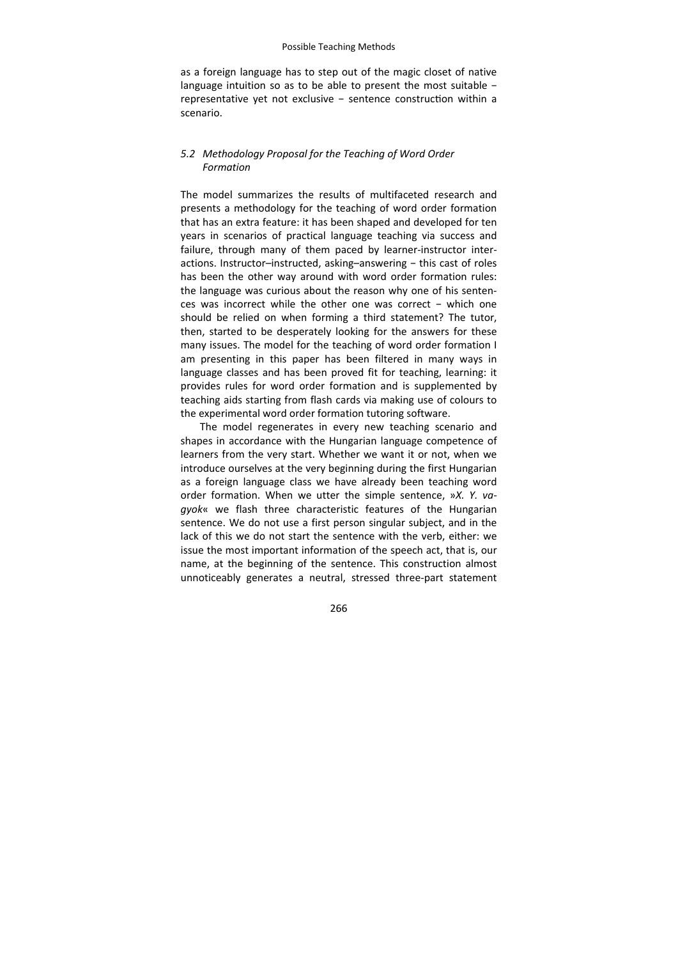as a foreign language has to step out of the magic closet of native language intuition so as to be able to present the most suitable − representative yet not exclusive - sentence construction within a scenario.

# *5.2 Methodology Proposal for the Teaching of Word Order Formation*

The model summarizes the results of multifaceted research and presents a methodology for the teaching of word order formation that has an extra feature: it has been shaped and developed for ten years in scenarios of practical language teaching via success and failure, through many of them paced by learner-instructor interactions. Instructor–instructed, asking–answering − this cast of roles has been the other way around with word order formation rules: the language was curious about the reason why one of his senten‐ ces was incorrect while the other one was correct - which one should be relied on when forming a third statement? The tutor, then, started to be desperately looking for the answers for these many issues. The model for the teaching of word order formation I am presenting in this paper has been filtered in many ways in language classes and has been proved fit for teaching, learning: it provides rules for word order formation and is supplemented by teaching aids starting from flash cards via making use of colours to the experimental word order formation tutoring software.

The model regenerates in every new teaching scenario and shapes in accordance with the Hungarian language competence of learners from the very start. Whether we want it or not, when we introduce ourselves at the very beginning during the first Hungarian as a foreign language class we have already been teaching word order formation. When we utter the simple sentence, »*X. Y. va‐ gyok*« we flash three characteristic features of the Hungarian sentence. We do not use a first person singular subject, and in the lack of this we do not start the sentence with the verb, either: we issue the most important information of the speech act, that is, our name, at the beginning of the sentence. This construction almost unnoticeably generates a neutral, stressed three‐part statement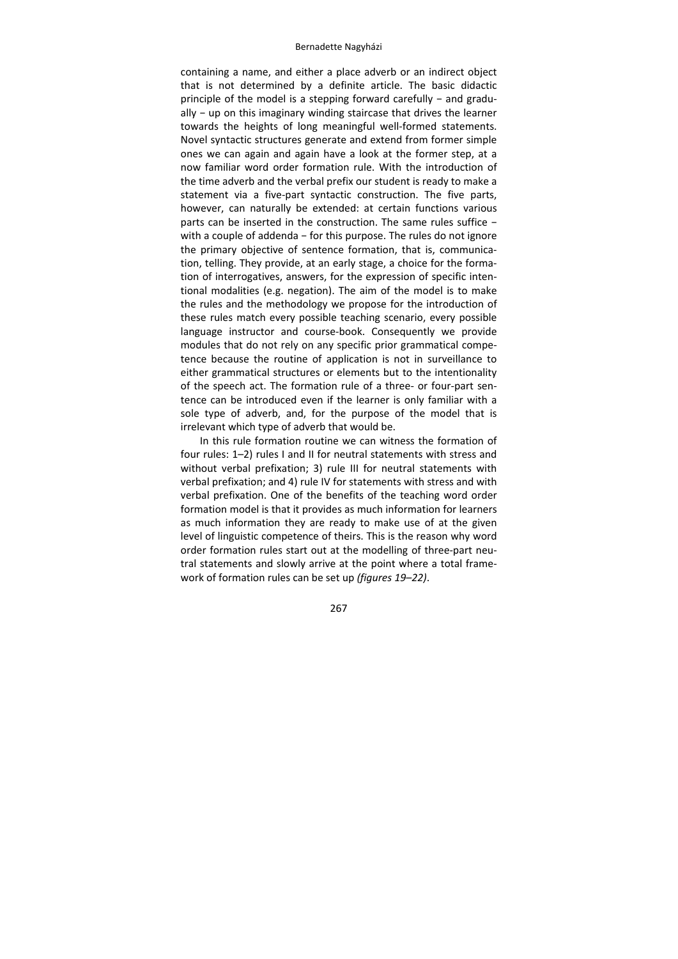containing a name, and either a place adverb or an indirect object that is not determined by a definite article. The basic didactic principle of the model is a stepping forward carefully – and gradually − up on this imaginary winding staircase that drives the learner towards the heights of long meaningful well‐formed statements. Novel syntactic structures generate and extend from former simple ones we can again and again have a look at the former step, at a now familiar word order formation rule. With the introduction of the time adverb and the verbal prefix our student is ready to make a statement via a five‐part syntactic construction. The five parts, however, can naturally be extended: at certain functions various parts can be inserted in the construction. The same rules suffice − with a couple of addenda − for this purpose. The rules do not ignore the primary objective of sentence formation, that is, communica‐ tion, telling. They provide, at an early stage, a choice for the forma‐ tion of interrogatives, answers, for the expression of specific inten‐ tional modalities (e.g. negation). The aim of the model is to make the rules and the methodology we propose for the introduction of these rules match every possible teaching scenario, every possible language instructor and course‐book. Consequently we provide modules that do not rely on any specific prior grammatical compe‐ tence because the routine of application is not in surveillance to either grammatical structures or elements but to the intentionality of the speech act. The formation rule of a three‐ or four‐part sen‐ tence can be introduced even if the learner is only familiar with a sole type of adverb, and, for the purpose of the model that is irrelevant which type of adverb that would be.

In this rule formation routine we can witness the formation of four rules: 1–2) rules I and II for neutral statements with stress and without verbal prefixation; 3) rule III for neutral statements with verbal prefixation; and 4) rule IV for statements with stress and with verbal prefixation. One of the benefits of the teaching word order formation model is that it provides as much information for learners as much information they are ready to make use of at the given level of linguistic competence of theirs. This is the reason why word order formation rules start out at the modelling of three‐part neu‐ tral statements and slowly arrive at the point where a total frame‐ work of formation rules can be set up *(figures 19–22)*.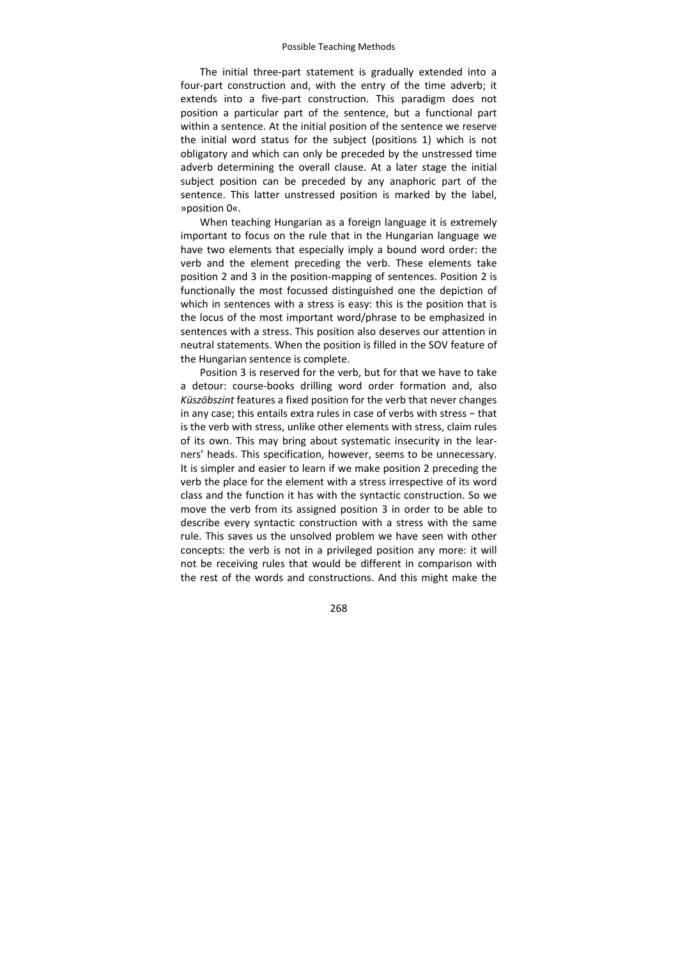The initial three-part statement is gradually extended into a four-part construction and, with the entry of the time adverb; it extends into a five-part construction. This paradigm does not position a particular part of the sentence, but a functional part within a sentence. At the initial position of the sentence we reserve the initial word status for the subject (positions 1) which is not obligatory and which can only be preceded by the unstressed time adverb determining the overall clause. At a later stage the initial subject position can be preceded by any anaphoric part of the sentence. This latter unstressed position is marked by the label, »position 0«.

When teaching Hungarian as a foreign language it is extremely important to focus on the rule that in the Hungarian language we have two elements that especially imply a bound word order: the verb and the element preceding the verb. These elements take position 2 and 3 in the position‐mapping of sentences. Position 2 is functionally the most focussed distinguished one the depiction of which in sentences with a stress is easy: this is the position that is the locus of the most important word/phrase to be emphasized in sentences with a stress. This position also deserves our attention in neutral statements. When the position is filled in the SOV feature of the Hungarian sentence is complete.

Position 3 is reserved for the verb, but for that we have to take a detour: course‐books drilling word order formation and, also *Küszöbszint* features a fixed position for the verb that never changes in any case; this entails extra rules in case of verbs with stress − that is the verb with stress, unlike other elements with stress, claim rules of its own. This may bring about systematic insecurity in the lear‐ ners' heads. This specification, however, seems to be unnecessary. It is simpler and easier to learn if we make position 2 preceding the verb the place for the element with a stress irrespective of its word class and the function it has with the syntactic construction. So we move the verb from its assigned position 3 in order to be able to describe every syntactic construction with a stress with the same rule. This saves us the unsolved problem we have seen with other concepts: the verb is not in a privileged position any more: it will not be receiving rules that would be different in comparison with the rest of the words and constructions. And this might make the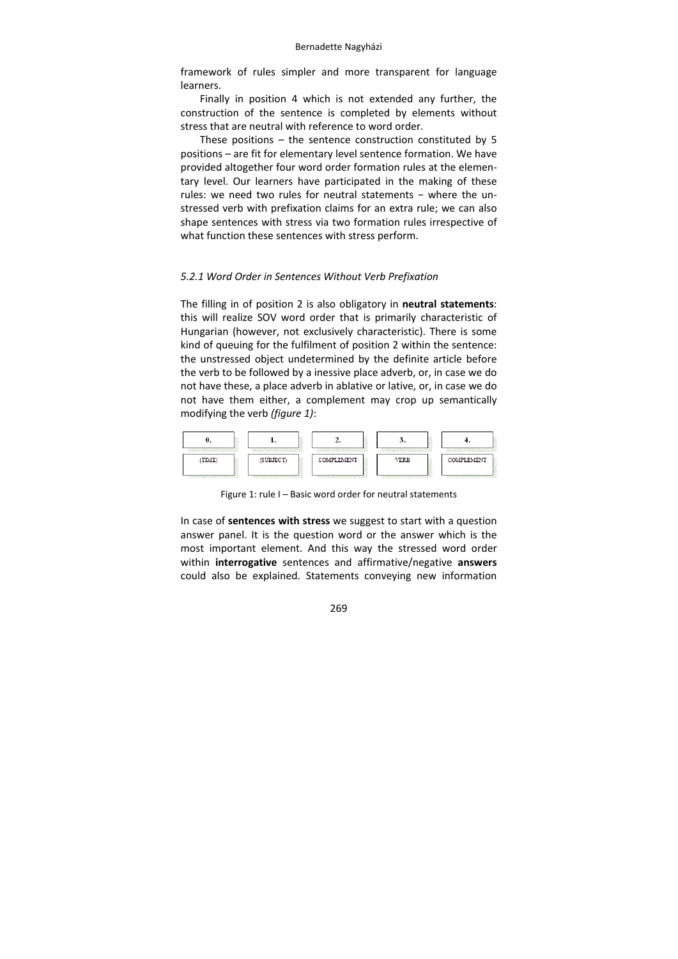framework of rules simpler and more transparent for language learners.

Finally in position 4 which is not extended any further, the construction of the sentence is completed by elements without stress that are neutral with reference to word order.

These positions – the sentence construction constituted by 5 positions – are fit for elementary level sentence formation. We have provided altogether four word order formation rules at the elemen‐ tary level. Our learners have participated in the making of these rules: we need two rules for neutral statements − where the unstressed verb with prefixation claims for an extra rule; we can also shape sentences with stress via two formation rules irrespective of what function these sentences with stress perform.

## *5.2.1 Word Order in Sentences Without Verb Prefixation*

The filling in of position 2 is also obligatory in **neutral statements**: this will realize SOV word order that is primarily characteristic of Hungarian (however, not exclusively characteristic). There is some kind of queuing for the fulfilment of position 2 within the sentence: the unstressed object undetermined by the definite article before the verb to be followed by a inessive place adverb, or, in case we do not have these, a place adverb in ablative or lative, or, in case we do not have them either, a complement may crop up semantically modifying the verb *(figure 1)*:



Figure 1: rule I – Basic word order for neutral statements

In case of **sentences with stress** we suggest to start with a question answer panel. It is the question word or the answer which is the most important element. And this way the stressed word order within **interrogative** sentences and affirmative/negative **answers** could also be explained. Statements conveying new information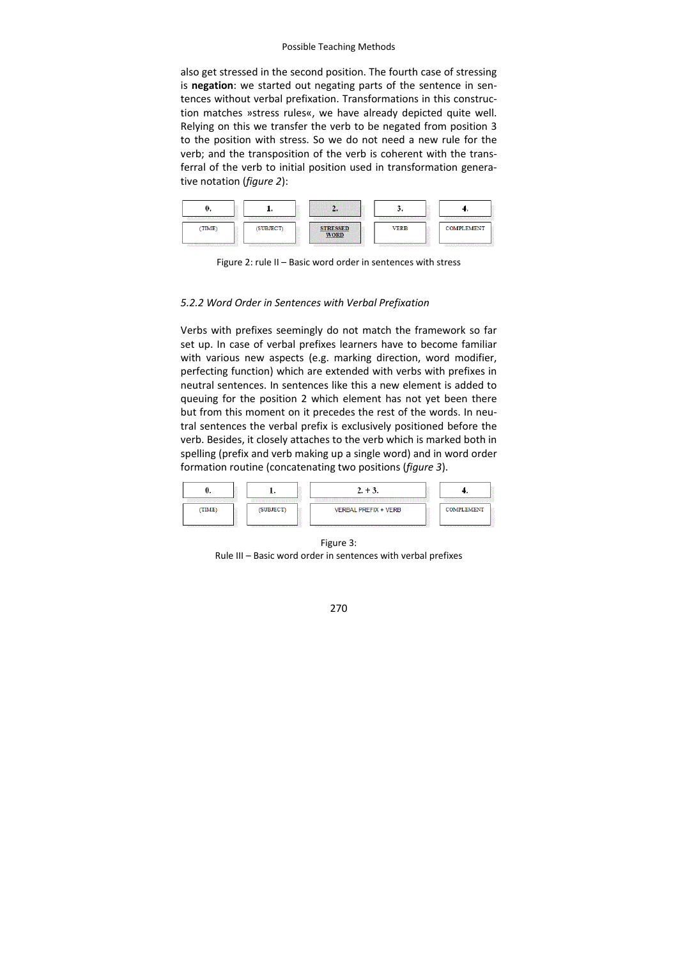also get stressed in the second position. The fourth case of stressing is **negation**: we started out negating parts of the sentence in sentences without verbal prefixation. Transformations in this construc‐ tion matches »stress rules«, we have already depicted quite well. Relying on this we transfer the verb to be negated from position 3 to the position with stress. So we do not need a new rule for the verb; and the transposition of the verb is coherent with the trans‐ ferral of the verb to initial position used in transformation genera‐ tive notation (*figure 2*):



Figure 2: rule II – Basic word order in sentences with stress

## *5.2.2 Word Order in Sentences with Verbal Prefixation*

Verbs with prefixes seemingly do not match the framework so far set up. In case of verbal prefixes learners have to become familiar with various new aspects (e.g. marking direction, word modifier, perfecting function) which are extended with verbs with prefixes in neutral sentences. In sentences like this a new element is added to queuing for the position 2 which element has not yet been there but from this moment on it precedes the rest of the words. In neutral sentences the verbal prefix is exclusively positioned before the verb. Besides, it closely attaches to the verb which is marked both in spelling (prefix and verb making up a single word) and in word order formation routine (concatenating two positions (*figure 3*).



Figure 3: Rule III – Basic word order in sentences with verbal prefixes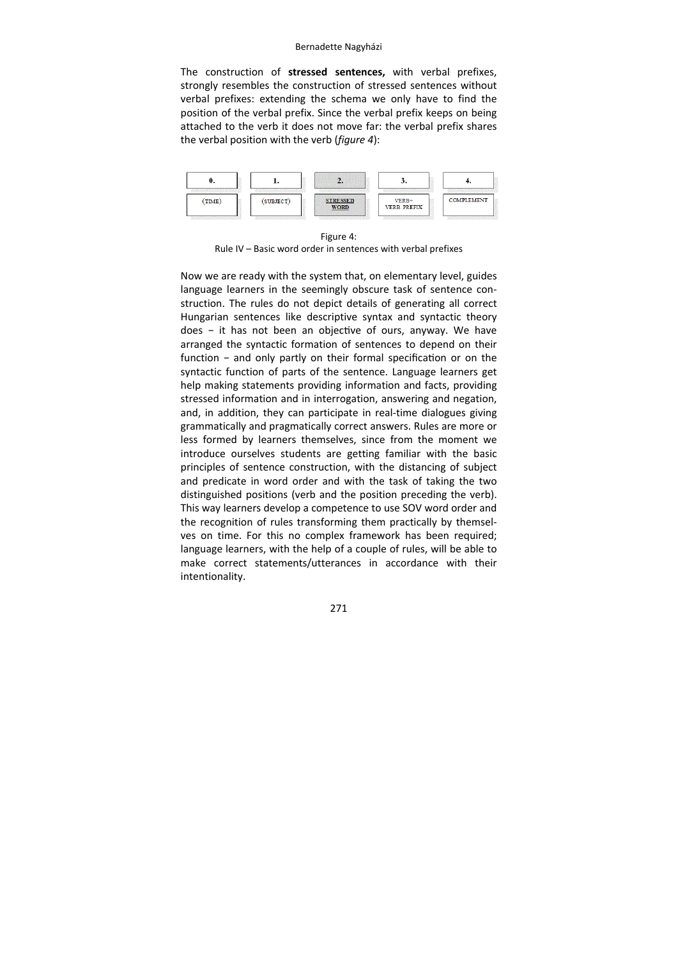The construction of **stressed sentences,** with verbal prefixes, strongly resembles the construction of stressed sentences without verbal prefixes: extending the schema we only have to find the position of the verbal prefix. Since the verbal prefix keeps on being attached to the verb it does not move far: the verbal prefix shares the verbal position with the verb (*figure 4*):



Figure 4: Rule IV – Basic word order in sentences with verbal prefixes

Now we are ready with the system that, on elementary level, guides language learners in the seemingly obscure task of sentence construction. The rules do not depict details of generating all correct Hungarian sentences like descriptive syntax and syntactic theory does - it has not been an objective of ours, anyway. We have arranged the syntactic formation of sentences to depend on their function - and only partly on their formal specification or on the syntactic function of parts of the sentence. Language learners get help making statements providing information and facts, providing stressed information and in interrogation, answering and negation, and, in addition, they can participate in real-time dialogues giving grammatically and pragmatically correct answers. Rules are more or less formed by learners themselves, since from the moment we introduce ourselves students are getting familiar with the basic principles of sentence construction, with the distancing of subject and predicate in word order and with the task of taking the two distinguished positions (verb and the position preceding the verb). This way learners develop a competence to use SOV word order and the recognition of rules transforming them practically by themsel‐ ves on time. For this no complex framework has been required; language learners, with the help of a couple of rules, will be able to make correct statements/utterances in accordance with their intentionality.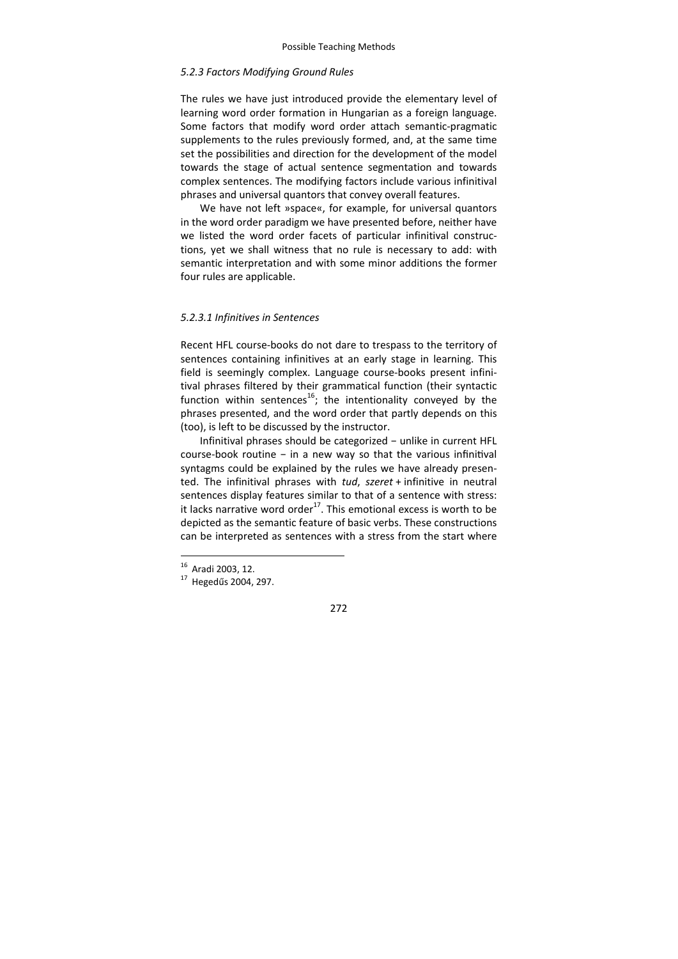## *5.2.3 Factors Modifying Ground Rules*

The rules we have just introduced provide the elementary level of learning word order formation in Hungarian as a foreign language. Some factors that modify word order attach semantic‐pragmatic supplements to the rules previously formed, and, at the same time set the possibilities and direction for the development of the model towards the stage of actual sentence segmentation and towards complex sentences. The modifying factors include various infinitival phrases and universal quantors that convey overall features.

We have not left »space«, for example, for universal quantors in the word order paradigm we have presented before, neither have we listed the word order facets of particular infinitival construc‐ tions, yet we shall witness that no rule is necessary to add: with semantic interpretation and with some minor additions the former four rules are applicable.

## *5.2.3.1 Infinitives in Sentences*

Recent HFL course‐books do not dare to trespass to the territory of sentences containing infinitives at an early stage in learning. This field is seemingly complex. Language course‐books present infini‐ tival phrases filtered by their grammatical function (their syntactic function within sentences<sup>16</sup>; the intentionality conveyed by the phrases presented, and the word order that partly depends on this (too), is left to be discussed by the instructor.

Infinitival phrases should be categorized − unlike in current HFL course-book routine  $-$  in a new way so that the various infinitival syntagms could be explained by the rules we have already presen‐ ted. The infinitival phrases with *tud*, *szeret* + infinitive in neutral sentences display features similar to that of a sentence with stress: it lacks narrative word order $^{17}$ . This emotional excess is worth to be depicted as the semantic feature of basic verbs. These constructions can be interpreted as sentences with a stress from the start where

<sup>&</sup>lt;sup>16</sup> Aradi 2003, 12.

 $17$  Hegedűs 2004, 297.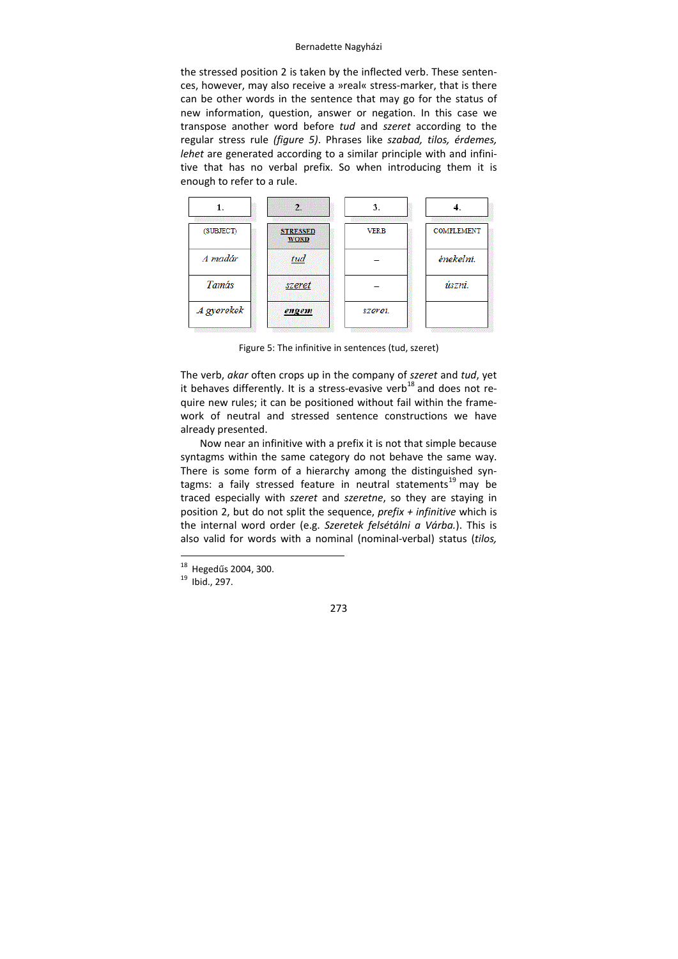the stressed position 2 is taken by the inflected verb. These senten‐ ces, however, may also receive a »real« stress‐marker, that is there can be other words in the sentence that may go for the status of new information, question, answer or negation. In this case we transpose another word before *tud* and *szeret* according to the regular stress rule *(figure 5)*. Phrases like *szabad, tilos, érdemes, lehet* are generated according to a similar principle with and infini‐ tive that has no verbal prefix. So when introducing them it is enough to refer to a rule.



Figure 5: The infinitive in sentences (tud, szeret)

The verb, *akar* often crops up in the company of *szeret* and *tud*, yet it behaves differently. It is a stress-evasive verb<sup>18</sup> and does not require new rules; it can be positioned without fail within the frame‐ work of neutral and stressed sentence constructions we have already presented.

Now near an infinitive with a prefix it is not that simple because syntagms within the same category do not behave the same way. There is some form of a hierarchy among the distinguished syntagms: a faily stressed feature in neutral statements<sup>19</sup> may be traced especially with *szeret* and *szeretne*, so they are staying in position 2, but do not split the sequence, *prefix + infinitive* which is the internal word order (e.g. *Szeretek felsétálni a Várba.*). This is also valid for words with a nominal (nominal‐verbal) status (*tilos,*

-

<sup>&</sup>lt;sup>18</sup> Hegedűs 2004, 300.<br><sup>19</sup> Ibid., 297.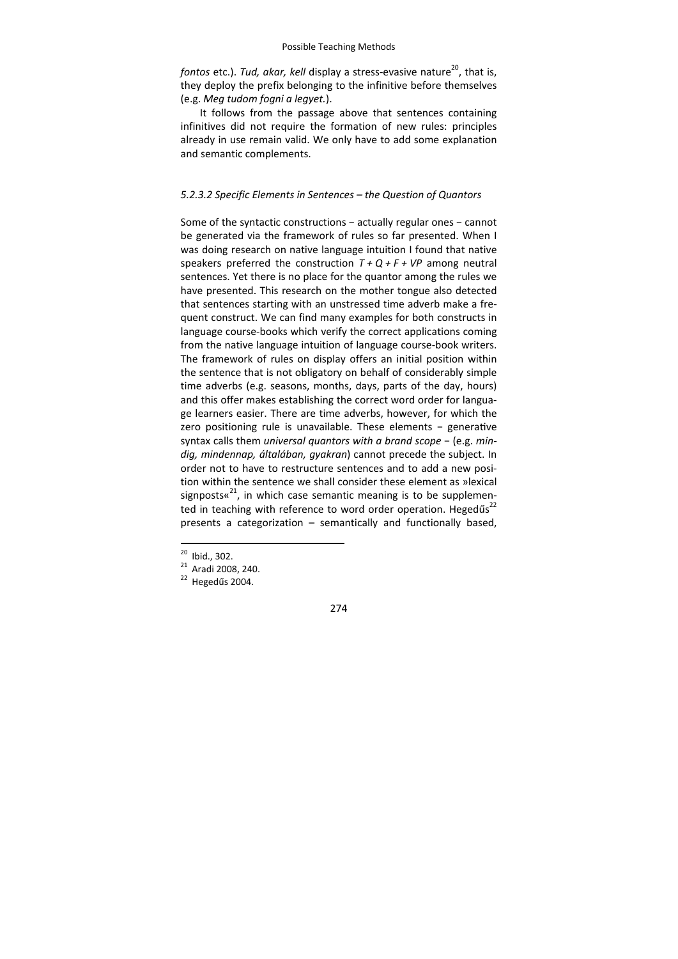*fontos* etc.). *Tud, akar, kell* display a stress-evasive nature<sup>20</sup>, that is, they deploy the prefix belonging to the infinitive before themselves (e.g. *Meg tudom fogni a legyet.*).

It follows from the passage above that sentences containing infinitives did not require the formation of new rules: principles already in use remain valid. We only have to add some explanation and semantic complements.

## *5.2.3.2 Specific Elements in Sentences – the Question of Quantors*

Some of the syntactic constructions − actually regular ones − cannot be generated via the framework of rules so far presented. When I was doing research on native language intuition I found that native speakers preferred the construction  $T + Q + F + VP$  among neutral sentences. Yet there is no place for the quantor among the rules we have presented. This research on the mother tongue also detected that sentences starting with an unstressed time adverb make a fre‐ quent construct. We can find many examples for both constructs in language course‐books which verify the correct applications coming from the native language intuition of language course‐book writers. The framework of rules on display offers an initial position within the sentence that is not obligatory on behalf of considerably simple time adverbs (e.g. seasons, months, days, parts of the day, hours) and this offer makes establishing the correct word order for language learners easier. There are time adverbs, however, for which the zero positioning rule is unavailable. These elements - generative syntax calls them *universal quantors with a brand scope* − (e.g. *min‐ dig, mindennap, általában, gyakran*) cannot precede the subject. In order not to have to restructure sentences and to add a new posi‐ tion within the sentence we shall consider these element as »lexical signposts« $^{21}$ , in which case semantic meaning is to be supplemented in teaching with reference to word order operation. Hegedűs<sup>22</sup> presents a categorization – semantically and functionally based,

 $20$  Ibid., 302.

 $\frac{21}{22}$  Aradi 2008, 240.<br>
Hegedűs 2004.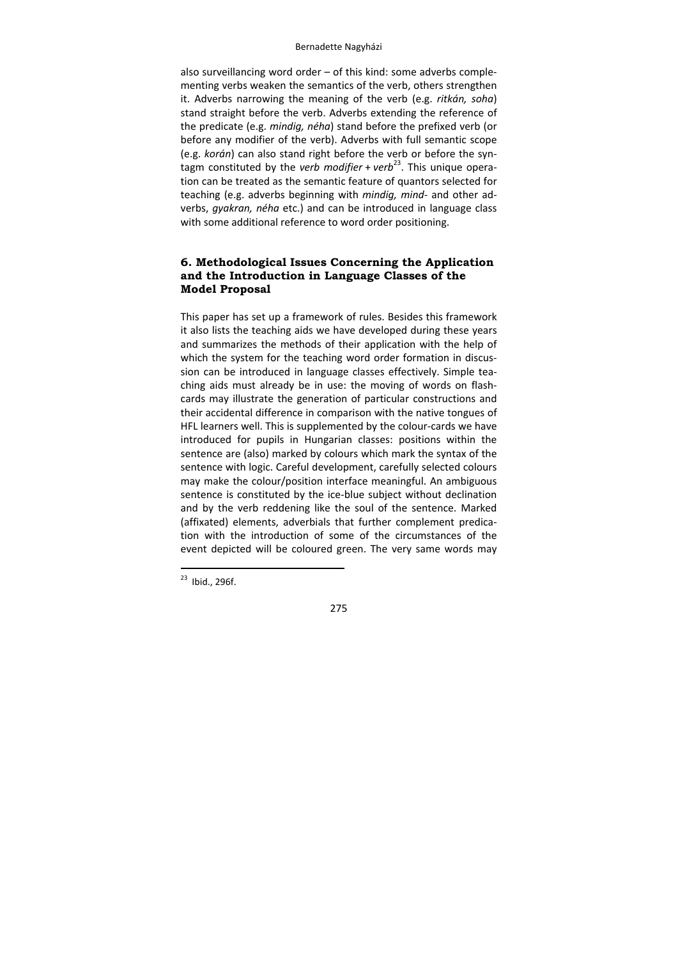also surveillancing word order – of this kind: some adverbs comple‐ menting verbs weaken the semantics of the verb, others strengthen it. Adverbs narrowing the meaning of the verb (e.g. *ritkán, soha*) stand straight before the verb. Adverbs extending the reference of the predicate (e.g. *mindig, néha*) stand before the prefixed verb (or before any modifier of the verb). Adverbs with full semantic scope (e.g. *korán*) can also stand right before the verb or before the syn‐ tagm constituted by the *verb modifier* + *verb*<sup>23</sup>. This unique operation can be treated as the semantic feature of quantors selected for teaching (e.g. adverbs beginning with *mindig, mind‐* and other ad‐ verbs, *gyakran, néha* etc.) and can be introduced in language class with some additional reference to word order positioning.

# **6. Methodological Issues Concerning the Application and the Introduction in Language Classes of the Model Proposal**

This paper has set up a framework of rules. Besides this framework it also lists the teaching aids we have developed during these years and summarizes the methods of their application with the help of which the system for the teaching word order formation in discussion can be introduced in language classes effectively. Simple teaching aids must already be in use: the moving of words on flash‐ cards may illustrate the generation of particular constructions and their accidental difference in comparison with the native tongues of HFL learners well. This is supplemented by the colour‐cards we have introduced for pupils in Hungarian classes: positions within the sentence are (also) marked by colours which mark the syntax of the sentence with logic. Careful development, carefully selected colours may make the colour/position interface meaningful. An ambiguous sentence is constituted by the ice-blue subject without declination and by the verb reddening like the soul of the sentence. Marked (affixated) elements, adverbials that further complement predica‐ tion with the introduction of some of the circumstances of the event depicted will be coloured green. The very same words may

-

 $23$  Ibid., 296f.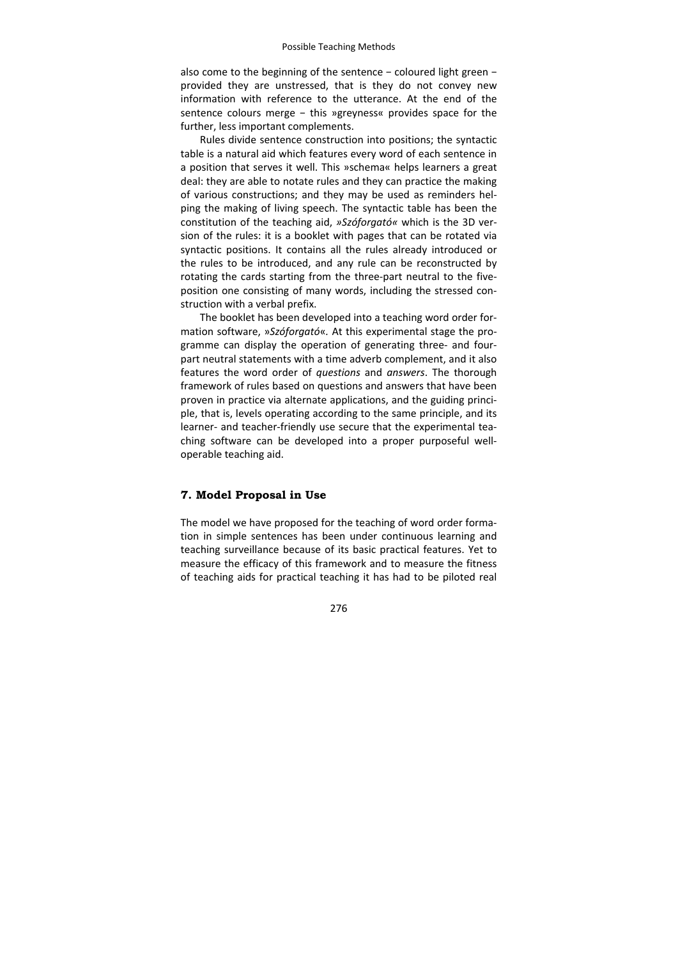also come to the beginning of the sentence − coloured light green − provided they are unstressed, that is they do not convey new information with reference to the utterance. At the end of the sentence colours merge - this »greyness« provides space for the further, less important complements.

Rules divide sentence construction into positions; the syntactic table is a natural aid which features every word of each sentence in a position that serves it well. This »schema« helps learners a great deal: they are able to notate rules and they can practice the making of various constructions; and they may be used as reminders hel‐ ping the making of living speech. The syntactic table has been the constitution of the teaching aid, *»Szóforgató«* which is the 3D ver‐ sion of the rules: it is a booklet with pages that can be rotated via syntactic positions. It contains all the rules already introduced or the rules to be introduced, and any rule can be reconstructed by rotating the cards starting from the three‐part neutral to the five‐ position one consisting of many words, including the stressed con‐ struction with a verbal prefix.

The booklet has been developed into a teaching word order for‐ mation software, »*Szóforgató*«*.* At this experimental stage the pro‐ gramme can display the operation of generating three‐ and four‐ part neutral statements with a time adverb complement, and it also features the word order of *questions* and *answers*. The thorough framework of rules based on questions and answers that have been proven in practice via alternate applications, and the guiding princi‐ ple, that is, levels operating according to the same principle, and its learner- and teacher-friendly use secure that the experimental teaching software can be developed into a proper purposeful well‐ operable teaching aid.

## **7. Model Proposal in Use**

The model we have proposed for the teaching of word order formation in simple sentences has been under continuous learning and teaching surveillance because of its basic practical features. Yet to measure the efficacy of this framework and to measure the fitness of teaching aids for practical teaching it has had to be piloted real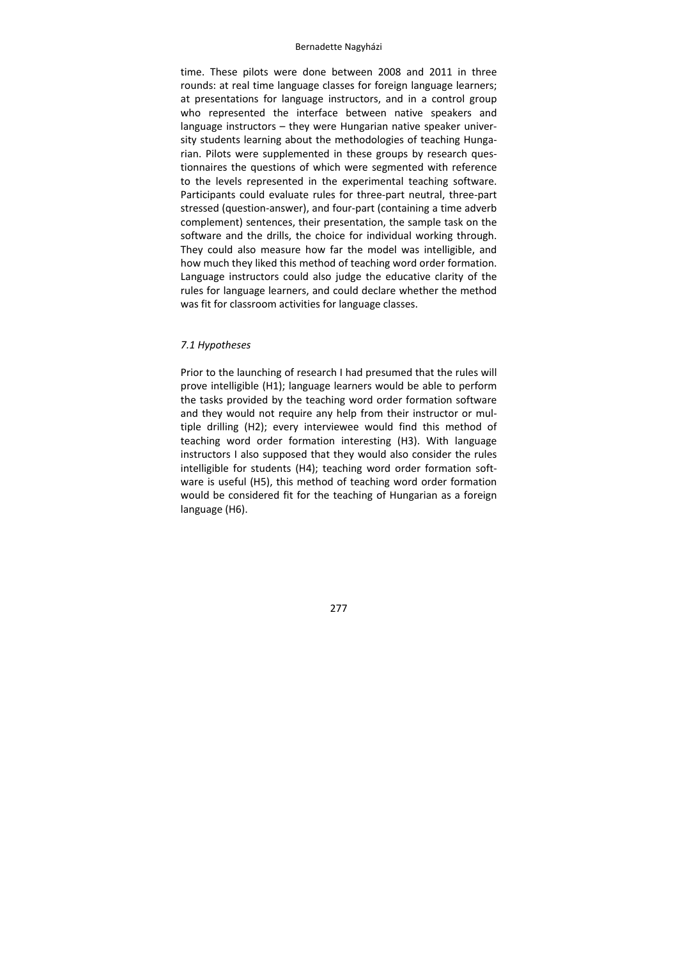time. These pilots were done between 2008 and 2011 in three rounds: at real time language classes for foreign language learners; at presentations for language instructors, and in a control group who represented the interface between native speakers and language instructors – they were Hungarian native speaker univer‐ sity students learning about the methodologies of teaching Hungarian. Pilots were supplemented in these groups by research ques‐ tionnaires the questions of which were segmented with reference to the levels represented in the experimental teaching software. Participants could evaluate rules for three‐part neutral, three‐part stressed (question-answer), and four-part (containing a time adverb complement) sentences, their presentation, the sample task on the software and the drills, the choice for individual working through. They could also measure how far the model was intelligible, and how much they liked this method of teaching word order formation. Language instructors could also judge the educative clarity of the rules for language learners, and could declare whether the method was fit for classroom activities for language classes.

## *7.1 Hypotheses*

Prior to the launching of research I had presumed that the rules will prove intelligible (H1); language learners would be able to perform the tasks provided by the teaching word order formation software and they would not require any help from their instructor or mul‐ tiple drilling (H2); every interviewee would find this method of teaching word order formation interesting (H3). With language instructors I also supposed that they would also consider the rules intelligible for students (H4); teaching word order formation software is useful (H5), this method of teaching word order formation would be considered fit for the teaching of Hungarian as a foreign language (H6).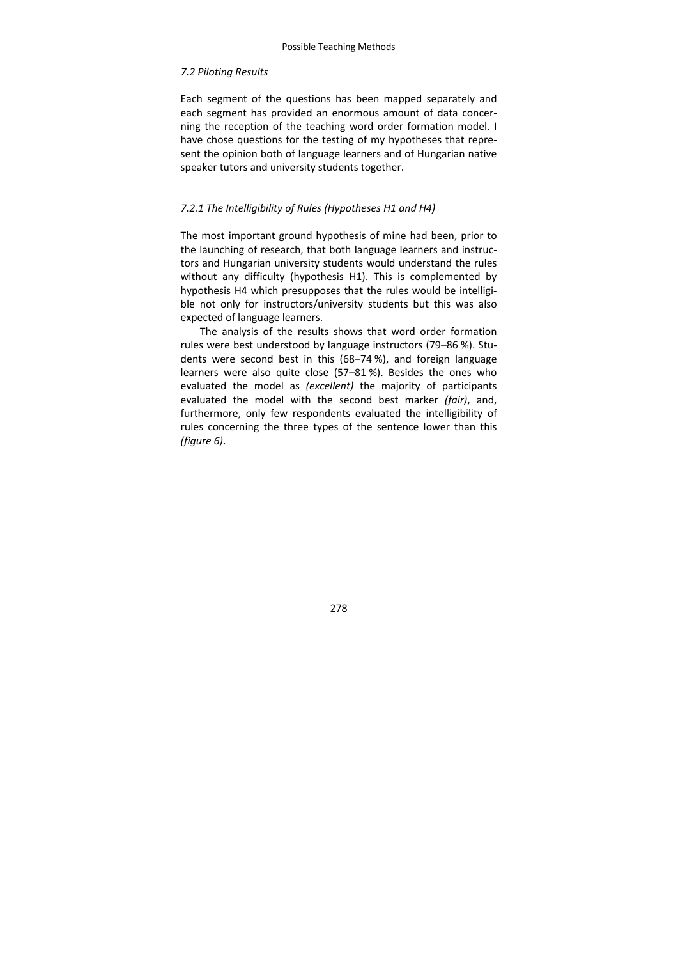# *7.2 Piloting Results*

Each segment of the questions has been mapped separately and each segment has provided an enormous amount of data concer‐ ning the reception of the teaching word order formation model. I have chose questions for the testing of my hypotheses that repre‐ sent the opinion both of language learners and of Hungarian native speaker tutors and university students together.

# *7.2.1 The Intelligibility of Rules (Hypotheses H1 and H4)*

The most important ground hypothesis of mine had been, prior to the launching of research, that both language learners and instruc‐ tors and Hungarian university students would understand the rules without any difficulty (hypothesis H1). This is complemented by hypothesis H4 which presupposes that the rules would be intelligi‐ ble not only for instructors/university students but this was also expected of language learners.

The analysis of the results shows that word order formation rules were best understood by language instructors (79–86 %). Stu‐ dents were second best in this (68–74 %), and foreign language learners were also quite close (57–81 %). Besides the ones who evaluated the model as *(excellent)* the majority of participants evaluated the model with the second best marker *(fair)*, and, furthermore, only few respondents evaluated the intelligibility of rules concerning the three types of the sentence lower than this *(figure 6)*.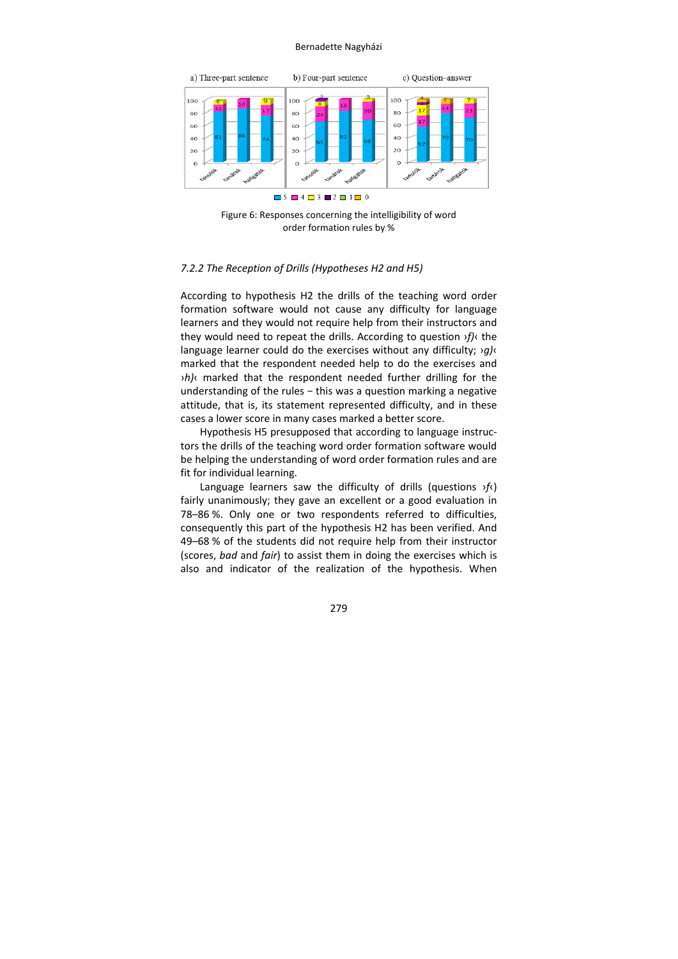

Figure 6: Responses concerning the intelligibility of word order formation rules by %

## *7.2.2 The Reception of Drills (Hypotheses H2 and H5)*

According to hypothesis H2 the drills of the teaching word order formation software would not cause any difficulty for language learners and they would not require help from their instructors and they would need to repeat the drills. According to question ›*f)*‹ the language learner could do the exercises without any difficulty; ›*g)*‹ marked that the respondent needed help to do the exercises and ›*h)*‹ marked that the respondent needed further drilling for the understanding of the rules - this was a question marking a negative attitude, that is, its statement represented difficulty, and in these cases a lower score in many cases marked a better score.

Hypothesis H5 presupposed that according to language instruc‐ tors the drills of the teaching word order formation software would be helping the understanding of word order formation rules and are fit for individual learning.

Language learners saw the difficulty of drills (questions ›*f*‹) fairly unanimously; they gave an excellent or a good evaluation in 78–86 %. Only one or two respondents referred to difficulties, consequently this part of the hypothesis H2 has been verified. And 49–68 % of the students did not require help from their instructor (scores, *bad* and *fair*) to assist them in doing the exercises which is also and indicator of the realization of the hypothesis. When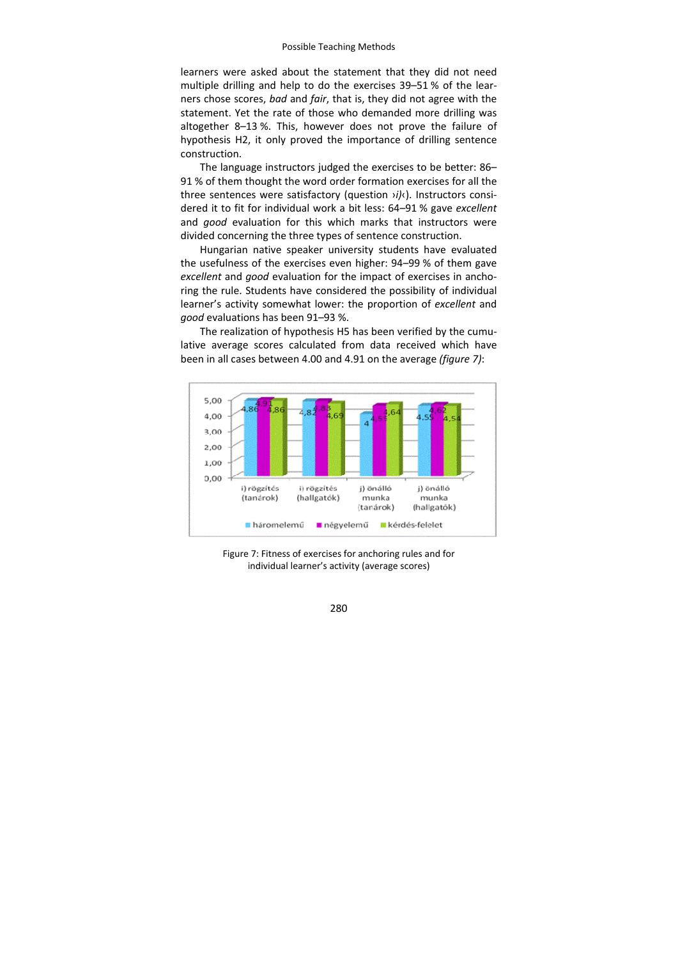learners were asked about the statement that they did not need multiple drilling and help to do the exercises 39–51 % of the lear‐ ners chose scores, *bad* and *fair*, that is, they did not agree with the statement. Yet the rate of those who demanded more drilling was altogether 8–13 %. This, however does not prove the failure of hypothesis H2, it only proved the importance of drilling sentence construction.

The language instructors judged the exercises to be better: 86– 91 % of them thought the word order formation exercises for all the three sentences were satisfactory (question ›*i)*‹). Instructors consi‐ dered it to fit for individual work a bit less: 64–91 % gave *excellent* and *good* evaluation for this which marks that instructors were divided concerning the three types of sentence construction.

Hungarian native speaker university students have evaluated the usefulness of the exercises even higher: 94–99 % of them gave *excellent* and *good* evaluation for the impact of exercises in ancho‐ ring the rule. Students have considered the possibility of individual learner's activity somewhat lower: the proportion of *excellent* and *good* evaluations has been 91–93 %.

The realization of hypothesis H5 has been verified by the cumulative average scores calculated from data received which have been in all cases between 4.00 and 4.91 on the average *(figure 7)*:



Figure 7: Fitness of exercises for anchoring rules and for individual learner's activity (average scores)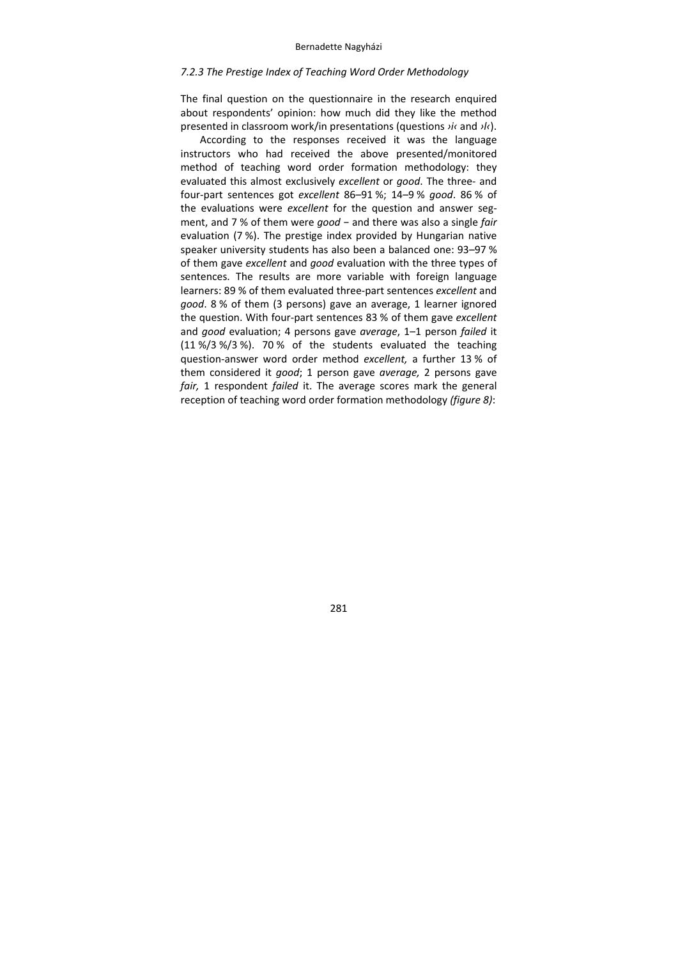# *7.2.3 The Prestige Index of Teaching Word Order Methodology*

The final question on the questionnaire in the research enquired about respondents' opinion: how much did they like the method presented in classroom work/in presentations (questions *›i‹* and *›l‹*).

According to the responses received it was the language instructors who had received the above presented/monitored method of teaching word order formation methodology: they evaluated this almost exclusively *excellent* or *good*. The three‐ and four‐part sentences got *excellent* 86–91 %; 14–9 % *good*. 86 % of the evaluations were *excellent* for the question and answer seg‐ ment, and 7 % of them were *good* − and there was also a single *fair* evaluation (7 %). The prestige index provided by Hungarian native speaker university students has also been a balanced one: 93–97 % of them gave *excellent* and *good* evaluation with the three types of sentences. The results are more variable with foreign language learners: 89 % of them evaluated three‐part sentences *excellent* and *good*. 8 % of them (3 persons) gave an average, 1 learner ignored the question. With four‐part sentences 83 % of them gave *excellent* and *good* evaluation; 4 persons gave *average*, 1–1 person *failed* it (11 %/3 %/3 %). 70 % of the students evaluated the teaching question‐answer word order method *excellent,* a further 13 % of them considered it *good*; 1 person gave *average,* 2 persons gave *fair,* 1 respondent *failed* it. The average scores mark the general reception of teaching word order formation methodology *(figure 8)*: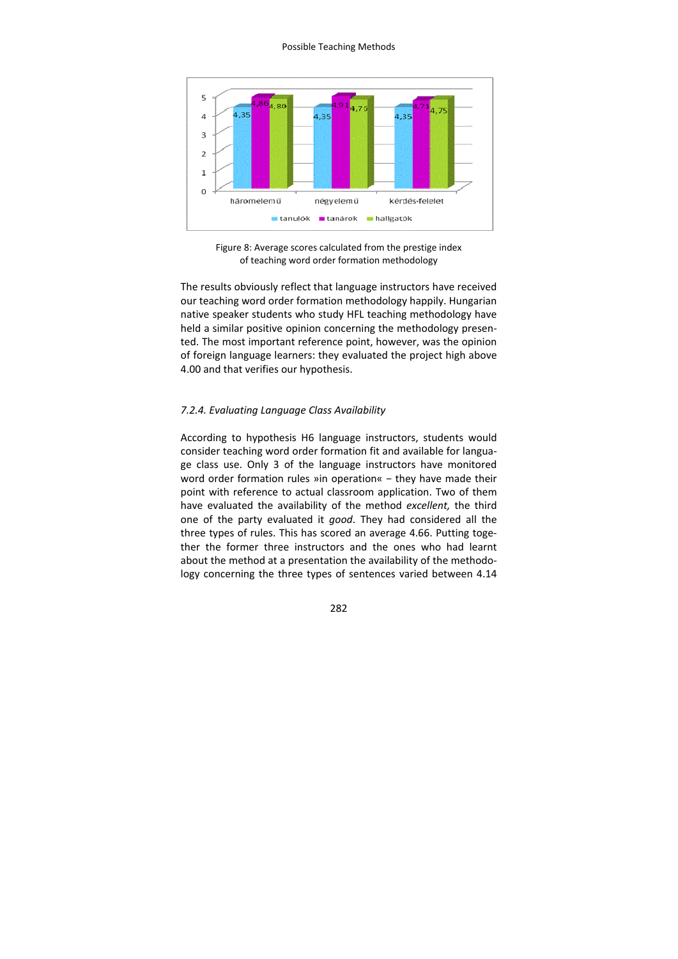

Figure 8: Average scores calculated from the prestige index of teaching word order formation methodology

The results obviously reflect that language instructors have received our teaching word order formation methodology happily. Hungarian native speaker students who study HFL teaching methodology have held a similar positive opinion concerning the methodology presented. The most important reference point, however, was the opinion of foreign language learners: they evaluated the project high above 4.00 and that verifies our hypothesis.

## *7.2.4. Evaluating Language Class Availability*

According to hypothesis H6 language instructors, students would consider teaching word order formation fit and available for langua‐ ge class use. Only 3 of the language instructors have monitored word order formation rules »in operation« - they have made their point with reference to actual classroom application. Two of them have evaluated the availability of the method *excellent,* the third one of the party evaluated it *good*. They had considered all the three types of rules. This has scored an average 4.66. Putting toge‐ ther the former three instructors and the ones who had learnt about the method at a presentation the availability of the methodology concerning the three types of sentences varied between 4.14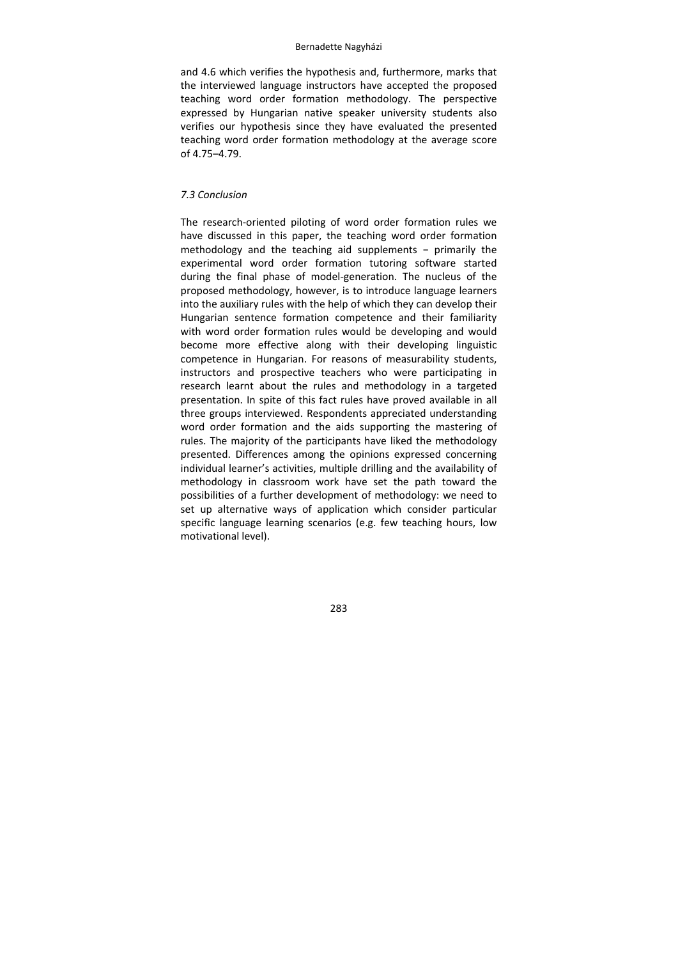and 4.6 which verifies the hypothesis and, furthermore, marks that the interviewed language instructors have accepted the proposed teaching word order formation methodology. The perspective expressed by Hungarian native speaker university students also verifies our hypothesis since they have evaluated the presented teaching word order formation methodology at the average score of 4.75–4.79.

## *7.3 Conclusion*

The research-oriented piloting of word order formation rules we have discussed in this paper, the teaching word order formation methodology and the teaching aid supplements − primarily the experimental word order formation tutoring software started during the final phase of model‐generation. The nucleus of the proposed methodology, however, is to introduce language learners into the auxiliary rules with the help of which they can develop their Hungarian sentence formation competence and their familiarity with word order formation rules would be developing and would become more effective along with their developing linguistic competence in Hungarian. For reasons of measurability students, instructors and prospective teachers who were participating in research learnt about the rules and methodology in a targeted presentation. In spite of this fact rules have proved available in all three groups interviewed. Respondents appreciated understanding word order formation and the aids supporting the mastering of rules. The majority of the participants have liked the methodology presented. Differences among the opinions expressed concerning individual learner's activities, multiple drilling and the availability of methodology in classroom work have set the path toward the possibilities of a further development of methodology: we need to set up alternative ways of application which consider particular specific language learning scenarios (e.g. few teaching hours, low motivational level).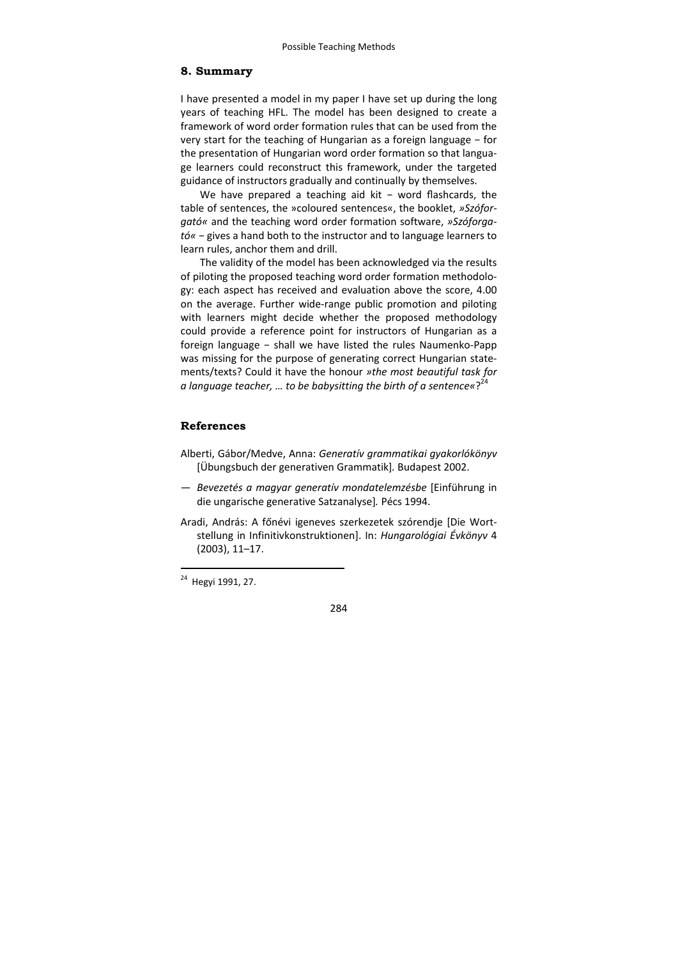# **8. Summary**

I have presented a model in my paper I have set up during the long years of teaching HFL. The model has been designed to create a framework of word order formation rules that can be used from the very start for the teaching of Hungarian as a foreign language − for the presentation of Hungarian word order formation so that langua‐ ge learners could reconstruct this framework, under the targeted guidance of instructors gradually and continually by themselves.

We have prepared a teaching aid kit − word flashcards, the table of sentences, the »coloured sentences«, the booklet, *»Szófor‐ gató«* and the teaching word order formation software, *»Szóforga‐ tó«* − gives a hand both to the instructor and to language learners to learn rules, anchor them and drill.

The validity of the model has been acknowledged via the results of piloting the proposed teaching word order formation methodolo‐ gy: each aspect has received and evaluation above the score, 4.00 on the average. Further wide‐range public promotion and piloting with learners might decide whether the proposed methodology could provide a reference point for instructors of Hungarian as a foreign language - shall we have listed the rules Naumenko-Papp was missing for the purpose of generating correct Hungarian state‐ ments/texts? Could it have the honour *»the most beautiful task for a language teacher, … to be babysitting the birth of a sentence«*? 24

## **References**

- Alberti, Gábor/Medve, Anna: *Generatív grammatikai gyakorlókönyv* [Übungsbuch der generativen Grammatik]*.* Budapest 2002.
- *Bevezetés a magyar generatív mondatelemzésbe* [Einführung in die ungarische generative Satzanalyse]*.* Pécs 1994.
- Aradi, András: A főnévi igeneves szerkezetek szórendje [Die Wort‐ stellung in Infinitivkonstruktionen]. In: *Hungarológiai Évkönyv* 4 (2003), 11–17.

-



<sup>&</sup>lt;sup>24</sup> Hegyi 1991, 27.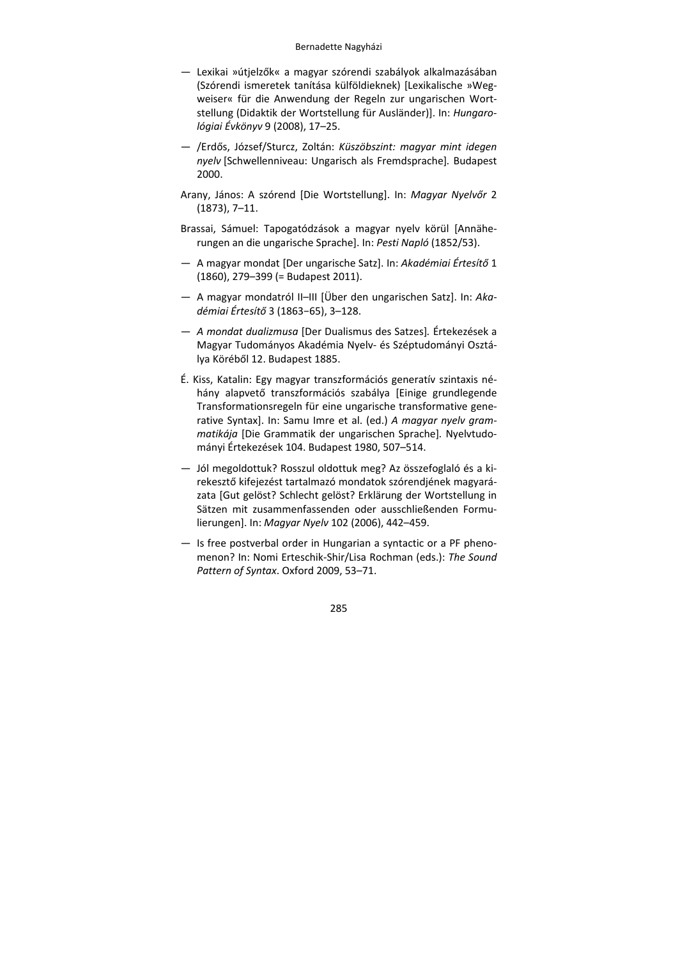- Lexikai »útjelzők« a magyar szórendi szabályok alkalmazásában (Szórendi ismeretek tanítása külföldieknek) [Lexikalische »Weg‐ weiser« für die Anwendung der Regeln zur ungarischen Wort‐ stellung (Didaktik der Wortstellung für Ausländer)]. In: *Hungaro‐ lógiai Évkönyv* 9 (2008), 17–25.
- /Erdős, József/Sturcz, Zoltán: *Küszöbszint: magyar mint idegen nyelv* [Schwellenniveau: Ungarisch als Fremdsprache]*.* Budapest 2000.
- Arany, János: A szórend [Die Wortstellung]. In: *Magyar Nyelvőr* 2 (1873), 7–11.
- Brassai, Sámuel: Tapogatódzások a magyar nyelv körül [Annähe‐ rungen an die ungarische Sprache]. In: *Pesti Napló* (1852/53).
- A magyar mondat [Der ungarische Satz]. In: *Akadémiai Értesítő* 1 (1860), 279–399 (= Budapest 2011).
- A magyar mondatról II–III [Über den ungarischen Satz]. In: *Aka‐ démiai Értesítő* 3 (1863−65), 3–128.
- *A mondat dualizmusa* [Der Dualismus des Satzes]*.* Értekezések a Magyar Tudományos Akadémia Nyelv‐ és Széptudományi Osztá‐ lya Köréből 12. Budapest 1885.
- É. Kiss, Katalin: Egy magyar transzformációs generatív szintaxis né‐ hány alapvető transzformációs szabálya [Einige grundlegende Transformationsregeln für eine ungarische transformative gene‐ rative Syntax]. In: Samu Imre et al. (ed.) *A magyar nyelv gram‐ matikája* [Die Grammatik der ungarischen Sprache]*.* Nyelvtudo‐ mányi Értekezések 104. Budapest 1980, 507–514.
- Jól megoldottuk? Rosszul oldottuk meg? Az összefoglaló és a ki‐ rekesztő kifejezést tartalmazó mondatok szórendjének magyará‐ zata [Gut gelöst? Schlecht gelöst? Erklärung der Wortstellung in Sätzen mit zusammenfassenden oder ausschließenden Formu‐ lierungen]. In: *Magyar Nyelv* 102 (2006), 442–459.
- Is free postverbal order in Hungarian a syntactic or a PF pheno‐ menon? In: Nomi Erteschik‐Shir/Lisa Rochman (eds.): *The Sound Pattern of Syntax*. Oxford 2009, 53–71.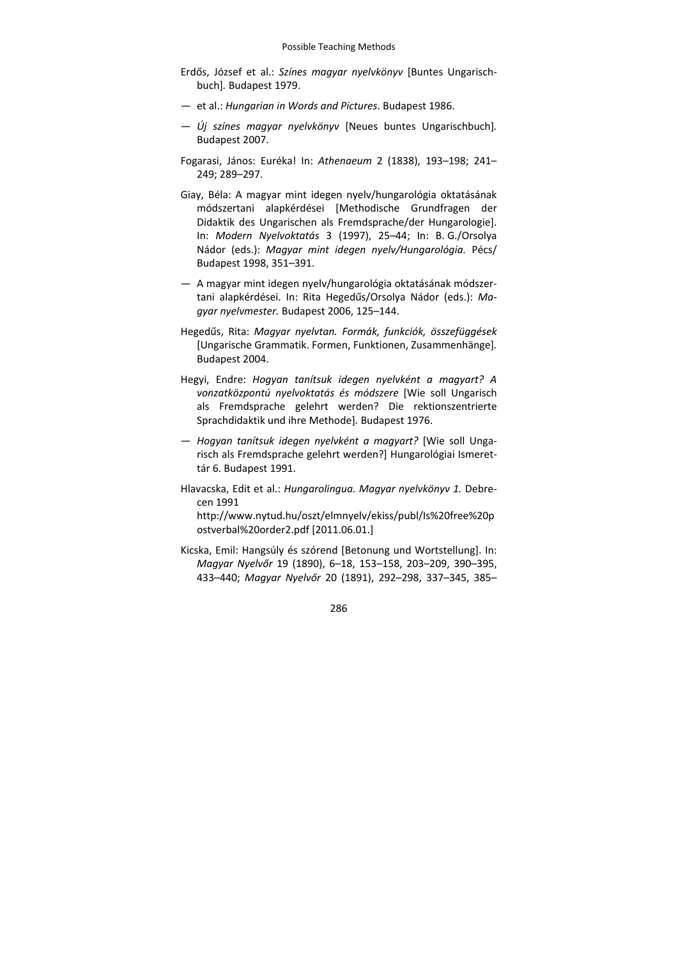- Erdős, József et al.: *Színes magyar nyelvkönyv* [Buntes Ungarisch‐ buch]*.* Budapest 1979.
- et al.: *Hungarian in Words and Pictures*. Budapest 1986.
- *Új színes magyar nyelvkönyv* [Neues buntes Ungarischbuch]*.* Budapest 2007.
- Fogarasi, János: Euréka! In: *Athenaeum* 2 (1838), 193–198; 241– 249; 289–297.
- Giay, Béla: A magyar mint idegen nyelv/hungarológia oktatásának módszertani alapkérdései [Methodische Grundfragen der Didaktik des Ungarischen als Fremdsprache/der Hungarologie]. In: *Modern Nyelvoktatás* 3 (1997), 25–44; In: B. G./Orsolya Nádor (eds.): *Magyar mint idegen nyelv/Hungarológia.* Pécs/ Budapest 1998, 351–391.
- A magyar mint idegen nyelv/hungarológia oktatásának módszer‐ tani alapkérdései. In: Rita Hegedűs/Orsolya Nádor (eds.): *Ma‐ gyar nyelvmester.* Budapest 2006, 125–144.
- Hegedűs, Rita: *Magyar nyelvtan. Formák, funkciók, összefüggések* [Ungarische Grammatik. Formen, Funktionen, Zusammenhänge]*.* Budapest 2004.
- Hegyi, Endre: *Hogyan tanítsuk idegen nyelvként a magyart? A vonzatközpontú nyelvoktatás és módszere* [Wie soll Ungarisch als Fremdsprache gelehrt werden? Die rektionszentrierte Sprachdidaktik und ihre Methode]*.* Budapest 1976.
- *Hogyan tanítsuk idegen nyelvként a magyart?* [Wie soll Unga‐ risch als Fremdsprache gelehrt werden?] Hungarológiai Ismeret‐ tár 6. Budapest 1991.
- Hlavacska, Edit et al.: *Hungarolingua. Magyar nyelvkönyv 1.* Debre‐ cen 1991

http://www.nytud.hu/oszt/elmnyelv/ekiss/publ/Is%20free%20p ostverbal%20order2.pdf [2011.06.01.]

Kicska, Emil: Hangsúly és szórend [Betonung und Wortstellung]. In: *Magyar Nyelvőr* 19 (1890), 6–18, 153–158, 203–209, 390–395, 433–440; *Magyar Nyelvőr* 20 (1891), 292–298, 337–345, 385–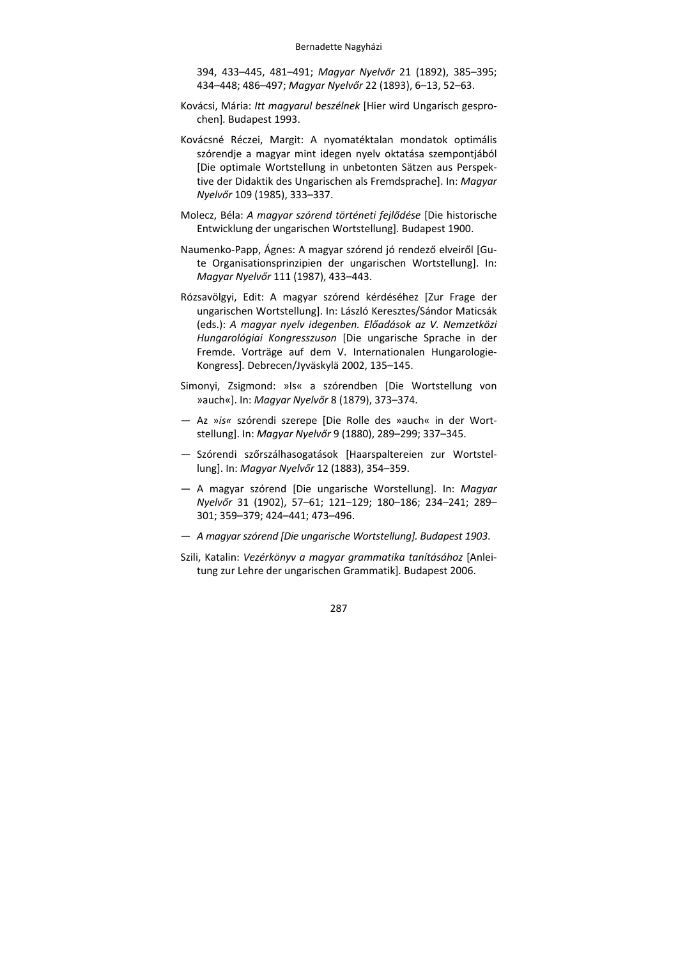- 394, 433–445, 481–491; *Magyar Nyelvőr* 21 (1892), 385–395; 434–448; 486–497; *Magyar Nyelvőr* 22 (1893), 6–13, 52–63.
- Kovácsi, Mária: *Itt magyarul beszélnek* [Hier wird Ungarisch gespro‐ chen]*.* Budapest 1993.
- Kovácsné Réczei, Margit: A nyomatéktalan mondatok optimális szórendje a magyar mint idegen nyelv oktatása szempontjából [Die optimale Wortstellung in unbetonten Sätzen aus Perspek‐ tive der Didaktik des Ungarischen als Fremdsprache]. In: *Magyar Nyelvőr* 109 (1985), 333–337.
- Molecz, Béla: *A magyar szórend történeti fejlődése* [Die historische Entwicklung der ungarischen Wortstellung]*.* Budapest 1900.
- Naumenko‐Papp, Ágnes: A magyar szórend jó rendező elveiről [Gu‐ te Organisationsprinzipien der ungarischen Wortstellung]. In: *Magyar Nyelvőr* 111 (1987), 433–443.
- Rózsavölgyi, Edit: A magyar szórend kérdéséhez [Zur Frage der ungarischen Wortstellung]. In: László Keresztes/Sándor Maticsák (eds.): *A magyar nyelv idegenben. Előadások az V. Nemzetközi Hungarológiai Kongresszuson* [Die ungarische Sprache in der Fremde. Vorträge auf dem V. Internationalen Hungarologie‐ Kongress]*.* Debrecen/Jyväskylä 2002, 135–145.
- Simonyi, Zsigmond: »Is« a szórendben [Die Wortstellung von »auch«]. In: *Magyar Nyelvőr* 8 (1879), 373–374.
- Az »*is«* szórendi szerepe [Die Rolle des »auch« in der Wort‐ stellung]. In: *Magyar Nyelvőr* 9 (1880), 289–299; 337–345.
- Szórendi szőrszálhasogatások [Haarspaltereien zur Wortstel‐ lung]. In: *Magyar Nyelvőr* 12 (1883), 354–359.
- A magyar szórend [Die ungarische Worstellung]. In: *Magyar Nyelvőr* 31 (1902), 57–61; 121–129; 180–186; 234–241; 289– 301; 359–379; 424–441; 473–496.
- *A magyar szórend [Die ungarische Wortstellung]. Budapest 1903*.
- Szili, Katalin: *Vezérkönyv a magyar grammatika tanításához* [Anlei‐ tung zur Lehre der ungarischen Grammatik]*.* Budapest 2006.